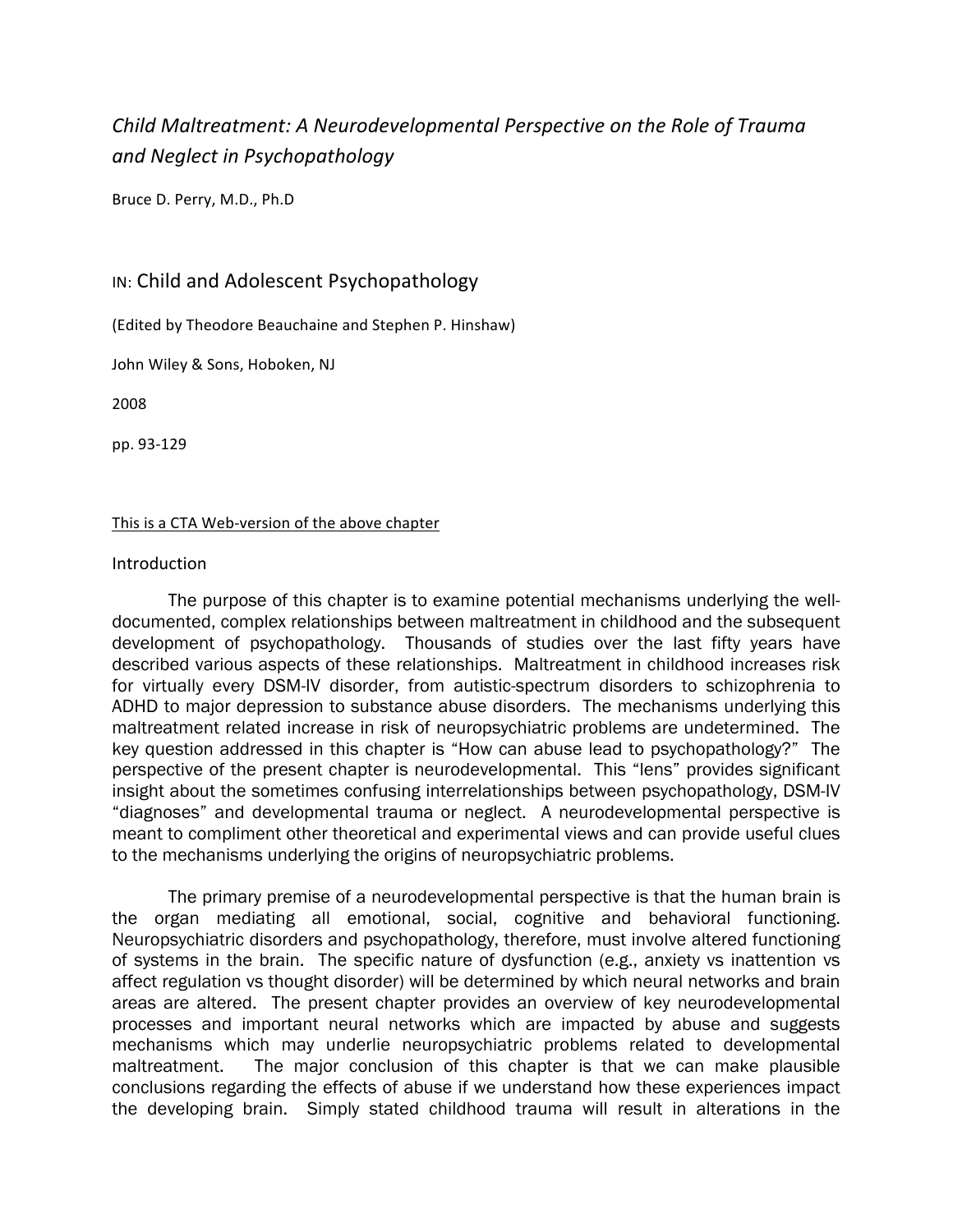# *Child
Maltreatment: A
Neurodevelopmental
Perspective
on
the Role
of
Trauma and
Neglect
in
Psychopathology*

Bruce
D.
Perry,
M.D.,
Ph.D

# IN:
Child
and
Adolescent
Psychopathology

(Edited
by
Theodore
Beauchaine and
Stephen
P.
Hinshaw)

John
Wiley
&
Sons,
Hoboken,
NJ

2008

pp.
93‐129

#### This is a CTA Web-version of the above chapter

#### Introduction

The purpose of this chapter is to examine potential mechanisms underlying the welldocumented, complex relationships between maltreatment in childhood and the subsequent development of psychopathology. Thousands of studies over the last fifty years have described various aspects of these relationships. Maltreatment in childhood increases risk for virtually every DSM-IV disorder, from autistic-spectrum disorders to schizophrenia to ADHD to major depression to substance abuse disorders. The mechanisms underlying this maltreatment related increase in risk of neuropsychiatric problems are undetermined. The key question addressed in this chapter is "How can abuse lead to psychopathology?" The perspective of the present chapter is neurodevelopmental. This "lens" provides significant insight about the sometimes confusing interrelationships between psychopathology, DSM-IV "diagnoses" and developmental trauma or neglect. A neurodevelopmental perspective is meant to compliment other theoretical and experimental views and can provide useful clues to the mechanisms underlying the origins of neuropsychiatric problems.

The primary premise of a neurodevelopmental perspective is that the human brain is the organ mediating all emotional, social, cognitive and behavioral functioning. Neuropsychiatric disorders and psychopathology, therefore, must involve altered functioning of systems in the brain. The specific nature of dysfunction (e.g., anxiety vs inattention vs affect regulation vs thought disorder) will be determined by which neural networks and brain areas are altered. The present chapter provides an overview of key neurodevelopmental processes and important neural networks which are impacted by abuse and suggests mechanisms which may underlie neuropsychiatric problems related to developmental maltreatment. The major conclusion of this chapter is that we can make plausible conclusions regarding the effects of abuse if we understand how these experiences impact the developing brain. Simply stated childhood trauma will result in alterations in the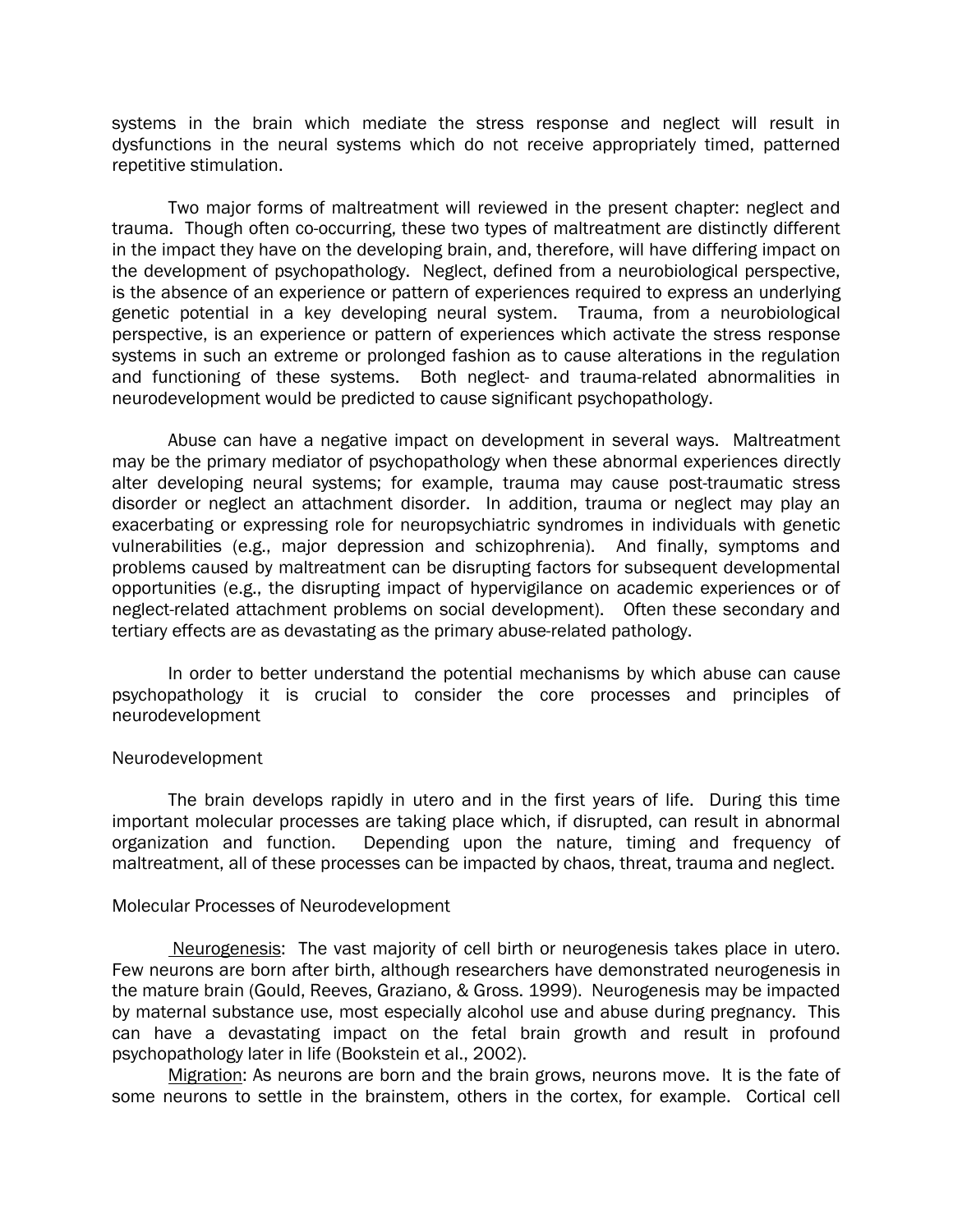systems in the brain which mediate the stress response and neglect will result in dysfunctions in the neural systems which do not receive appropriately timed, patterned repetitive stimulation.

Two major forms of maltreatment will reviewed in the present chapter: neglect and trauma. Though often co-occurring, these two types of maltreatment are distinctly different in the impact they have on the developing brain, and, therefore, will have differing impact on the development of psychopathology. Neglect, defined from a neurobiological perspective, is the absence of an experience or pattern of experiences required to express an underlying genetic potential in a key developing neural system. Trauma, from a neurobiological perspective, is an experience or pattern of experiences which activate the stress response systems in such an extreme or prolonged fashion as to cause alterations in the regulation and functioning of these systems. Both neglect- and trauma-related abnormalities in neurodevelopment would be predicted to cause significant psychopathology.

Abuse can have a negative impact on development in several ways. Maltreatment may be the primary mediator of psychopathology when these abnormal experiences directly alter developing neural systems; for example, trauma may cause post-traumatic stress disorder or neglect an attachment disorder. In addition, trauma or neglect may play an exacerbating or expressing role for neuropsychiatric syndromes in individuals with genetic vulnerabilities (e.g., major depression and schizophrenia). And finally, symptoms and problems caused by maltreatment can be disrupting factors for subsequent developmental opportunities (e.g., the disrupting impact of hypervigilance on academic experiences or of neglect-related attachment problems on social development). Often these secondary and tertiary effects are as devastating as the primary abuse-related pathology.

In order to better understand the potential mechanisms by which abuse can cause psychopathology it is crucial to consider the core processes and principles of neurodevelopment

#### Neurodevelopment

The brain develops rapidly in utero and in the first years of life. During this time important molecular processes are taking place which, if disrupted, can result in abnormal organization and function. Depending upon the nature, timing and frequency of Depending upon the nature, timing and frequency of maltreatment, all of these processes can be impacted by chaos, threat, trauma and neglect.

#### Molecular Processes of Neurodevelopment

 Neurogenesis: The vast majority of cell birth or neurogenesis takes place in utero. Few neurons are born after birth, although researchers have demonstrated neurogenesis in the mature brain (Gould, Reeves, Graziano, & Gross. 1999). Neurogenesis may be impacted by maternal substance use, most especially alcohol use and abuse during pregnancy. This can have a devastating impact on the fetal brain growth and result in profound psychopathology later in life (Bookstein et al., 2002).

Migration: As neurons are born and the brain grows, neurons move. It is the fate of some neurons to settle in the brainstem, others in the cortex, for example. Cortical cell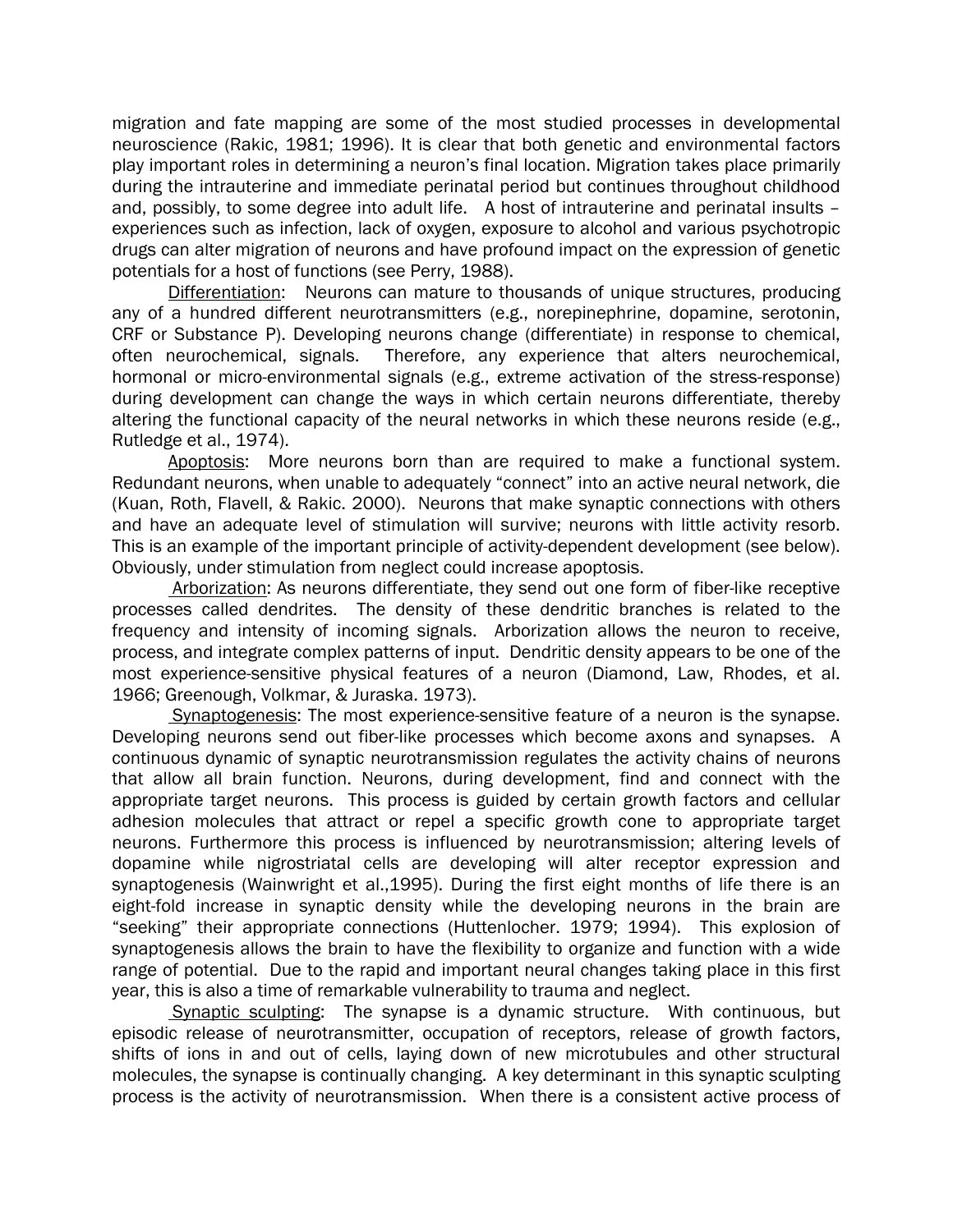migration and fate mapping are some of the most studied processes in developmental neuroscience (Rakic, 1981; 1996). It is clear that both genetic and environmental factors play important roles in determining a neuron's final location. Migration takes place primarily during the intrauterine and immediate perinatal period but continues throughout childhood and, possibly, to some degree into adult life. A host of intrauterine and perinatal insults – experiences such as infection, lack of oxygen, exposure to alcohol and various psychotropic drugs can alter migration of neurons and have profound impact on the expression of genetic potentials for a host of functions (see Perry, 1988).

Differentiation: Neurons can mature to thousands of unique structures, producing any of a hundred different neurotransmitters (e.g., norepinephrine, dopamine, serotonin, CRF or Substance P). Developing neurons change (differentiate) in response to chemical, often neurochemical, signals. Therefore, any experience that alters neurochemical, hormonal or micro-environmental signals (e.g., extreme activation of the stress-response) during development can change the ways in which certain neurons differentiate, thereby altering the functional capacity of the neural networks in which these neurons reside (e.g., Rutledge et al., 1974).

Apoptosis: More neurons born than are required to make a functional system. Redundant neurons, when unable to adequately "connect" into an active neural network, die (Kuan, Roth, Flavell, & Rakic. 2000). Neurons that make synaptic connections with others and have an adequate level of stimulation will survive; neurons with little activity resorb. This is an example of the important principle of activity-dependent development (see below). Obviously, under stimulation from neglect could increase apoptosis.

 Arborization: As neurons differentiate, they send out one form of fiber-like receptive processes called dendrites. The density of these dendritic branches is related to the frequency and intensity of incoming signals. Arborization allows the neuron to receive, process, and integrate complex patterns of input. Dendritic density appears to be one of the most experience-sensitive physical features of a neuron (Diamond, Law, Rhodes, et al. 1966; Greenough, Volkmar, & Juraska. 1973).

 Synaptogenesis: The most experience-sensitive feature of a neuron is the synapse. Developing neurons send out fiber-like processes which become axons and synapses. A continuous dynamic of synaptic neurotransmission regulates the activity chains of neurons that allow all brain function. Neurons, during development, find and connect with the appropriate target neurons. This process is guided by certain growth factors and cellular adhesion molecules that attract or repel a specific growth cone to appropriate target neurons. Furthermore this process is influenced by neurotransmission; altering levels of dopamine while nigrostriatal cells are developing will alter receptor expression and synaptogenesis (Wainwright et al.,1995). During the first eight months of life there is an eight-fold increase in synaptic density while the developing neurons in the brain are "seeking" their appropriate connections (Huttenlocher. 1979; 1994). This explosion of synaptogenesis allows the brain to have the flexibility to organize and function with a wide range of potential. Due to the rapid and important neural changes taking place in this first year, this is also a time of remarkable vulnerability to trauma and neglect.

Synaptic sculpting: The synapse is a dynamic structure. With continuous, but episodic release of neurotransmitter, occupation of receptors, release of growth factors, shifts of ions in and out of cells, laying down of new microtubules and other structural molecules, the synapse is continually changing. A key determinant in this synaptic sculpting process is the activity of neurotransmission. When there is a consistent active process of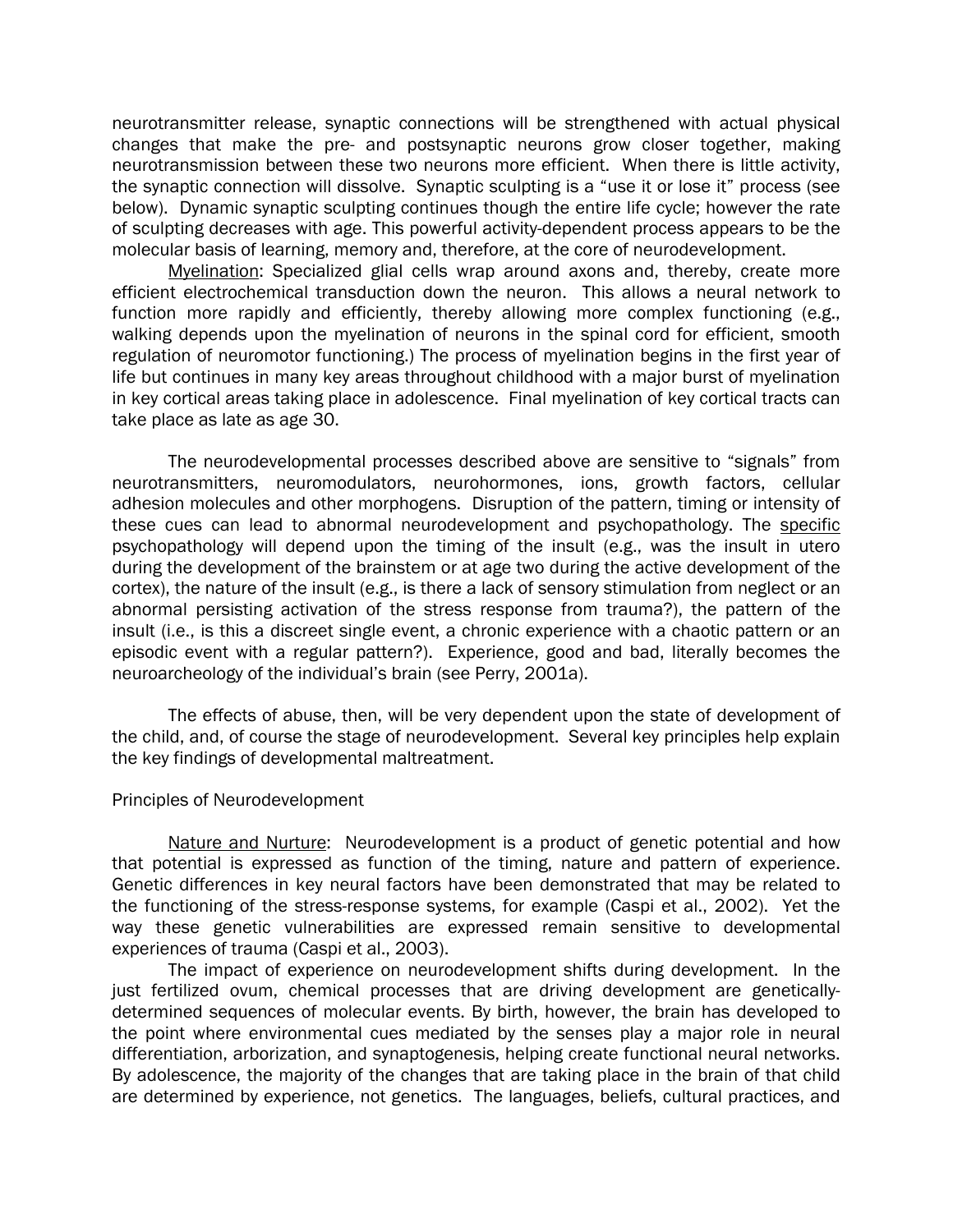neurotransmitter release, synaptic connections will be strengthened with actual physical changes that make the pre- and postsynaptic neurons grow closer together, making neurotransmission between these two neurons more efficient. When there is little activity, the synaptic connection will dissolve. Synaptic sculpting is a "use it or lose it" process (see below). Dynamic synaptic sculpting continues though the entire life cycle; however the rate of sculpting decreases with age. This powerful activity-dependent process appears to be the molecular basis of learning, memory and, therefore, at the core of neurodevelopment.

Myelination: Specialized glial cells wrap around axons and, thereby, create more efficient electrochemical transduction down the neuron. This allows a neural network to function more rapidly and efficiently, thereby allowing more complex functioning (e.g., walking depends upon the myelination of neurons in the spinal cord for efficient, smooth regulation of neuromotor functioning.) The process of myelination begins in the first year of life but continues in many key areas throughout childhood with a major burst of myelination in key cortical areas taking place in adolescence. Final myelination of key cortical tracts can take place as late as age 30.

The neurodevelopmental processes described above are sensitive to "signals" from neurotransmitters, neuromodulators, neurohormones, ions, growth factors, cellular adhesion molecules and other morphogens. Disruption of the pattern, timing or intensity of these cues can lead to abnormal neurodevelopment and psychopathology. The specific psychopathology will depend upon the timing of the insult (e.g., was the insult in utero during the development of the brainstem or at age two during the active development of the cortex), the nature of the insult (e.g., is there a lack of sensory stimulation from neglect or an abnormal persisting activation of the stress response from trauma?), the pattern of the insult (i.e., is this a discreet single event, a chronic experience with a chaotic pattern or an episodic event with a regular pattern?). Experience, good and bad, literally becomes the neuroarcheology of the individual's brain (see Perry, 2001a).

The effects of abuse, then, will be very dependent upon the state of development of the child, and, of course the stage of neurodevelopment. Several key principles help explain the key findings of developmental maltreatment.

#### Principles of Neurodevelopment

Nature and Nurture: Neurodevelopment is a product of genetic potential and how that potential is expressed as function of the timing, nature and pattern of experience. Genetic differences in key neural factors have been demonstrated that may be related to the functioning of the stress-response systems, for example (Caspi et al., 2002). Yet the way these genetic vulnerabilities are expressed remain sensitive to developmental experiences of trauma (Caspi et al., 2003).

The impact of experience on neurodevelopment shifts during development. In the just fertilized ovum, chemical processes that are driving development are geneticallydetermined sequences of molecular events. By birth, however, the brain has developed to the point where environmental cues mediated by the senses play a major role in neural differentiation, arborization, and synaptogenesis, helping create functional neural networks. By adolescence, the majority of the changes that are taking place in the brain of that child are determined by experience, not genetics. The languages, beliefs, cultural practices, and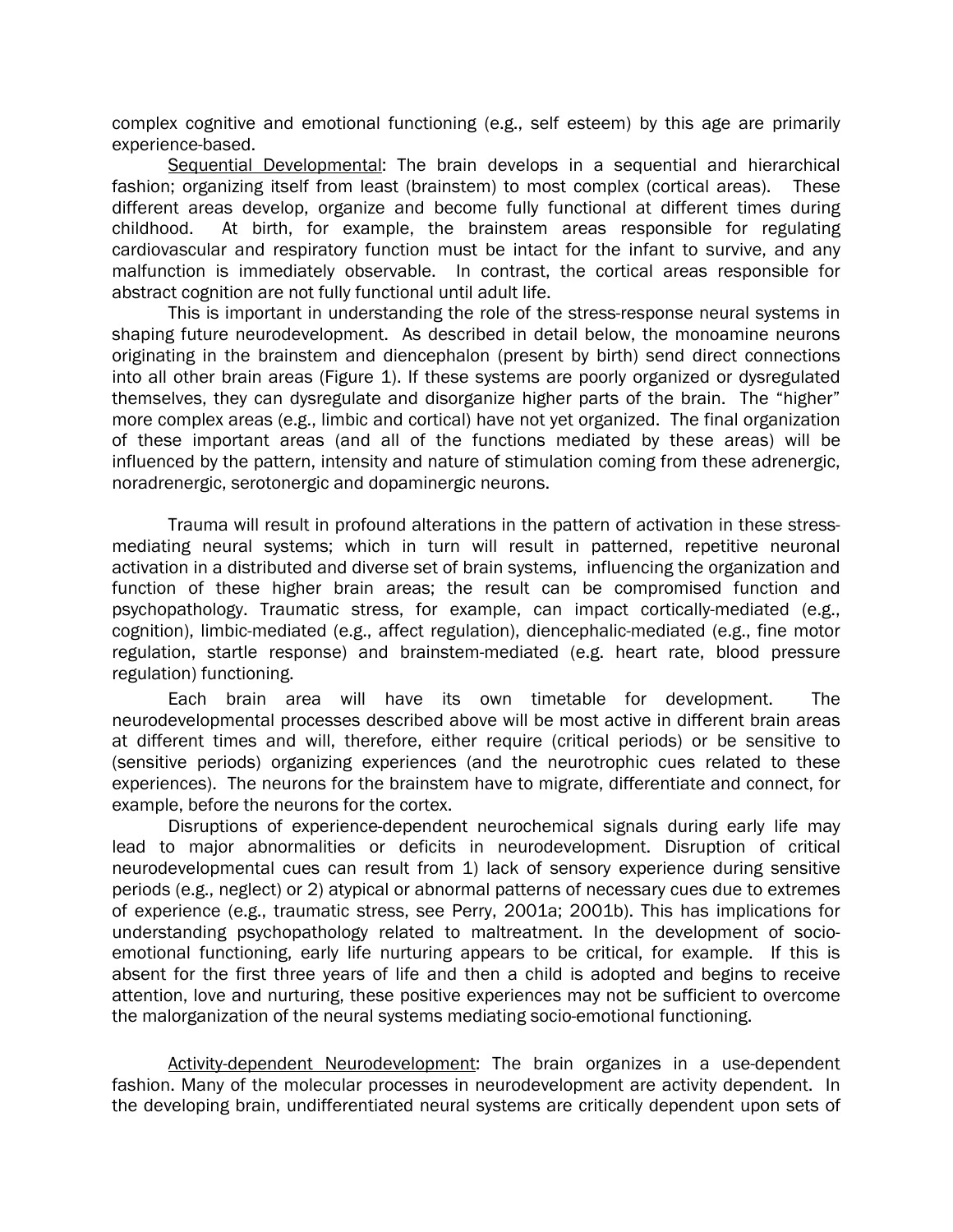complex cognitive and emotional functioning (e.g., self esteem) by this age are primarily experience-based.

Sequential Developmental: The brain develops in a sequential and hierarchical fashion; organizing itself from least (brainstem) to most complex (cortical areas). These different areas develop, organize and become fully functional at different times during childhood. At birth, for example, the brainstem areas responsible for regulating cardiovascular and respiratory function must be intact for the infant to survive, and any malfunction is immediately observable. In contrast, the cortical areas responsible for abstract cognition are not fully functional until adult life.

This is important in understanding the role of the stress-response neural systems in shaping future neurodevelopment. As described in detail below, the monoamine neurons originating in the brainstem and diencephalon (present by birth) send direct connections into all other brain areas (Figure 1). If these systems are poorly organized or dysregulated themselves, they can dysregulate and disorganize higher parts of the brain. The "higher" more complex areas (e.g., limbic and cortical) have not yet organized. The final organization of these important areas (and all of the functions mediated by these areas) will be influenced by the pattern, intensity and nature of stimulation coming from these adrenergic, noradrenergic, serotonergic and dopaminergic neurons.

Trauma will result in profound alterations in the pattern of activation in these stressmediating neural systems; which in turn will result in patterned, repetitive neuronal activation in a distributed and diverse set of brain systems, influencing the organization and function of these higher brain areas; the result can be compromised function and psychopathology. Traumatic stress, for example, can impact cortically-mediated (e.g., cognition), limbic-mediated (e.g., affect regulation), diencephalic-mediated (e.g., fine motor regulation, startle response) and brainstem-mediated (e.g. heart rate, blood pressure regulation) functioning.

Each brain area will have its own timetable for development. The neurodevelopmental processes described above will be most active in different brain areas at different times and will, therefore, either require (critical periods) or be sensitive to (sensitive periods) organizing experiences (and the neurotrophic cues related to these experiences). The neurons for the brainstem have to migrate, differentiate and connect, for example, before the neurons for the cortex.

Disruptions of experience-dependent neurochemical signals during early life may lead to major abnormalities or deficits in neurodevelopment. Disruption of critical neurodevelopmental cues can result from 1) lack of sensory experience during sensitive periods (e.g., neglect) or 2) atypical or abnormal patterns of necessary cues due to extremes of experience (e.g., traumatic stress, see Perry, 2001a; 2001b). This has implications for understanding psychopathology related to maltreatment. In the development of socioemotional functioning, early life nurturing appears to be critical, for example. If this is absent for the first three years of life and then a child is adopted and begins to receive attention, love and nurturing, these positive experiences may not be sufficient to overcome the malorganization of the neural systems mediating socio-emotional functioning.

Activity-dependent Neurodevelopment: The brain organizes in a use-dependent fashion. Many of the molecular processes in neurodevelopment are activity dependent. In the developing brain, undifferentiated neural systems are critically dependent upon sets of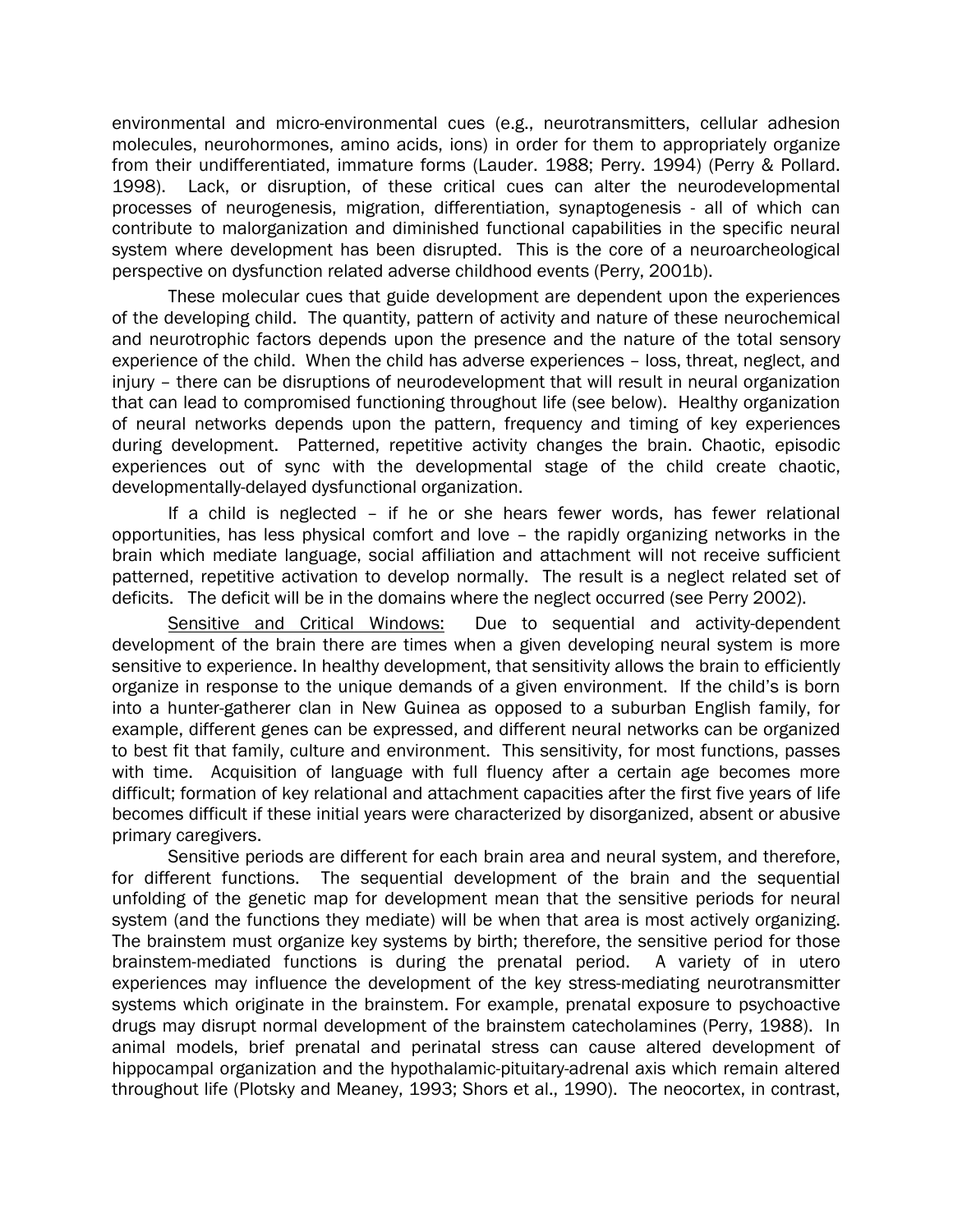environmental and micro-environmental cues (e.g., neurotransmitters, cellular adhesion molecules, neurohormones, amino acids, ions) in order for them to appropriately organize from their undifferentiated, immature forms (Lauder. 1988; Perry. 1994) (Perry & Pollard. 1998). Lack, or disruption, of these critical cues can alter the neurodevelopmental processes of neurogenesis, migration, differentiation, synaptogenesis - all of which can contribute to malorganization and diminished functional capabilities in the specific neural system where development has been disrupted. This is the core of a neuroarcheological perspective on dysfunction related adverse childhood events (Perry, 2001b).

These molecular cues that guide development are dependent upon the experiences of the developing child. The quantity, pattern of activity and nature of these neurochemical and neurotrophic factors depends upon the presence and the nature of the total sensory experience of the child. When the child has adverse experiences – loss, threat, neglect, and injury – there can be disruptions of neurodevelopment that will result in neural organization that can lead to compromised functioning throughout life (see below). Healthy organization of neural networks depends upon the pattern, frequency and timing of key experiences during development. Patterned, repetitive activity changes the brain. Chaotic, episodic experiences out of sync with the developmental stage of the child create chaotic, developmentally-delayed dysfunctional organization.

If a child is neglected – if he or she hears fewer words, has fewer relational opportunities, has less physical comfort and love – the rapidly organizing networks in the brain which mediate language, social affiliation and attachment will not receive sufficient patterned, repetitive activation to develop normally. The result is a neglect related set of deficits. The deficit will be in the domains where the neglect occurred (see Perry 2002).

Sensitive and Critical Windows: Due to sequential and activity-dependent development of the brain there are times when a given developing neural system is more sensitive to experience. In healthy development, that sensitivity allows the brain to efficiently organize in response to the unique demands of a given environment. If the child's is born into a hunter-gatherer clan in New Guinea as opposed to a suburban English family, for example, different genes can be expressed, and different neural networks can be organized to best fit that family, culture and environment. This sensitivity, for most functions, passes with time. Acquisition of language with full fluency after a certain age becomes more difficult; formation of key relational and attachment capacities after the first five years of life becomes difficult if these initial years were characterized by disorganized, absent or abusive primary caregivers.

Sensitive periods are different for each brain area and neural system, and therefore, for different functions. The sequential development of the brain and the sequential unfolding of the genetic map for development mean that the sensitive periods for neural system (and the functions they mediate) will be when that area is most actively organizing. The brainstem must organize key systems by birth; therefore, the sensitive period for those brainstem-mediated functions is during the prenatal period. A variety of in utero experiences may influence the development of the key stress-mediating neurotransmitter systems which originate in the brainstem. For example, prenatal exposure to psychoactive drugs may disrupt normal development of the brainstem catecholamines (Perry, 1988). In animal models, brief prenatal and perinatal stress can cause altered development of hippocampal organization and the hypothalamic-pituitary-adrenal axis which remain altered throughout life (Plotsky and Meaney, 1993; Shors et al., 1990). The neocortex, in contrast,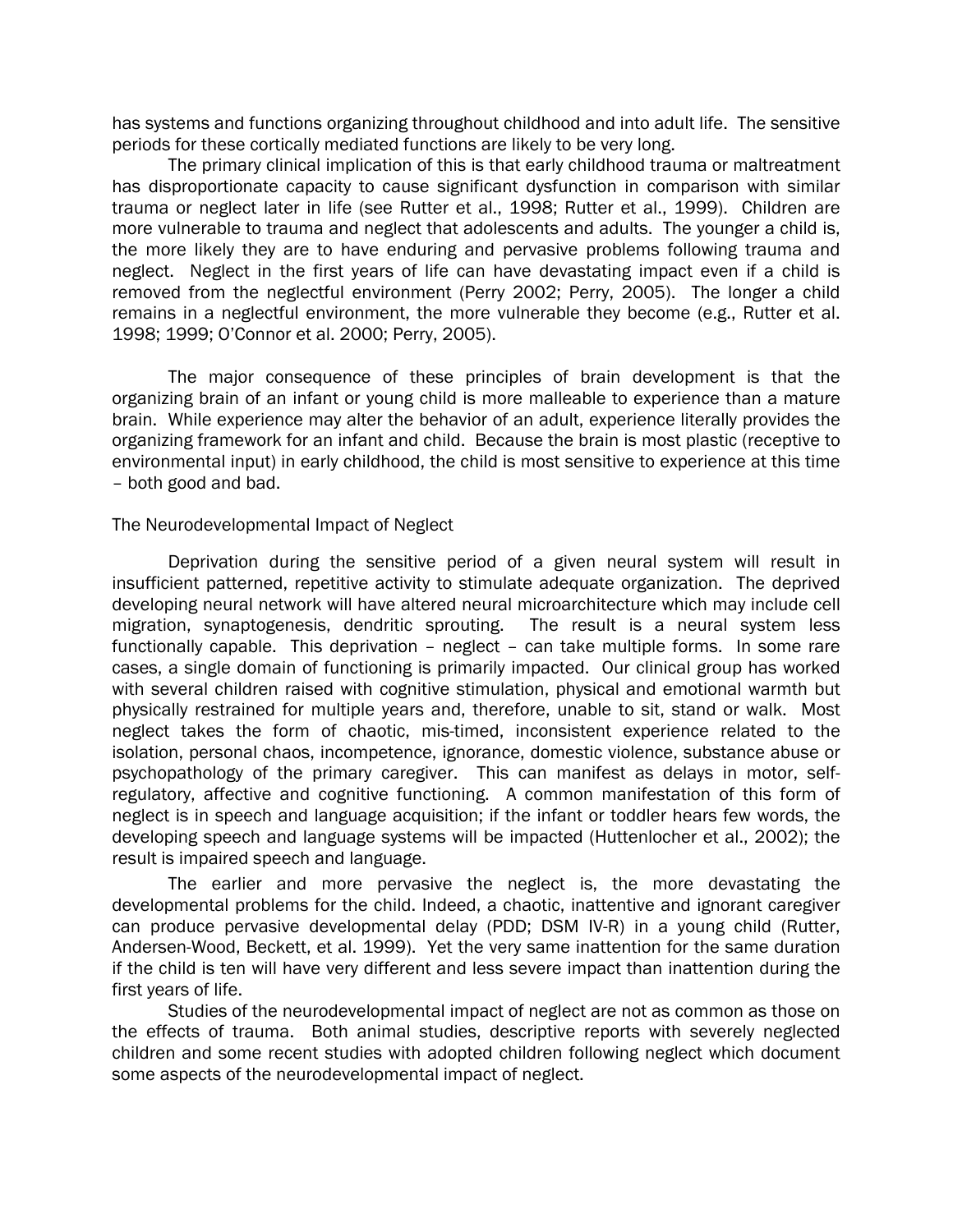has systems and functions organizing throughout childhood and into adult life. The sensitive periods for these cortically mediated functions are likely to be very long.

The primary clinical implication of this is that early childhood trauma or maltreatment has disproportionate capacity to cause significant dysfunction in comparison with similar trauma or neglect later in life (see Rutter et al., 1998; Rutter et al., 1999). Children are more vulnerable to trauma and neglect that adolescents and adults. The younger a child is, the more likely they are to have enduring and pervasive problems following trauma and neglect. Neglect in the first years of life can have devastating impact even if a child is removed from the neglectful environment (Perry 2002; Perry, 2005). The longer a child remains in a neglectful environment, the more vulnerable they become (e.g., Rutter et al. 1998; 1999; O'Connor et al. 2000; Perry, 2005).

The major consequence of these principles of brain development is that the organizing brain of an infant or young child is more malleable to experience than a mature brain. While experience may alter the behavior of an adult, experience literally provides the organizing framework for an infant and child. Because the brain is most plastic (receptive to environmental input) in early childhood, the child is most sensitive to experience at this time – both good and bad.

#### The Neurodevelopmental Impact of Neglect

Deprivation during the sensitive period of a given neural system will result in insufficient patterned, repetitive activity to stimulate adequate organization. The deprived developing neural network will have altered neural microarchitecture which may include cell migration, synaptogenesis, dendritic sprouting. The result is a neural system less functionally capable. This deprivation – neglect – can take multiple forms. In some rare cases, a single domain of functioning is primarily impacted. Our clinical group has worked with several children raised with cognitive stimulation, physical and emotional warmth but physically restrained for multiple years and, therefore, unable to sit, stand or walk. Most neglect takes the form of chaotic, mis-timed, inconsistent experience related to the isolation, personal chaos, incompetence, ignorance, domestic violence, substance abuse or psychopathology of the primary caregiver. This can manifest as delays in motor, selfregulatory, affective and cognitive functioning. A common manifestation of this form of neglect is in speech and language acquisition; if the infant or toddler hears few words, the developing speech and language systems will be impacted (Huttenlocher et al., 2002); the result is impaired speech and language.

The earlier and more pervasive the neglect is, the more devastating the developmental problems for the child. Indeed, a chaotic, inattentive and ignorant caregiver can produce pervasive developmental delay (PDD; DSM IV-R) in a young child (Rutter, Andersen-Wood, Beckett, et al. 1999). Yet the very same inattention for the same duration if the child is ten will have very different and less severe impact than inattention during the first years of life.

Studies of the neurodevelopmental impact of neglect are not as common as those on the effects of trauma. Both animal studies, descriptive reports with severely neglected children and some recent studies with adopted children following neglect which document some aspects of the neurodevelopmental impact of neglect.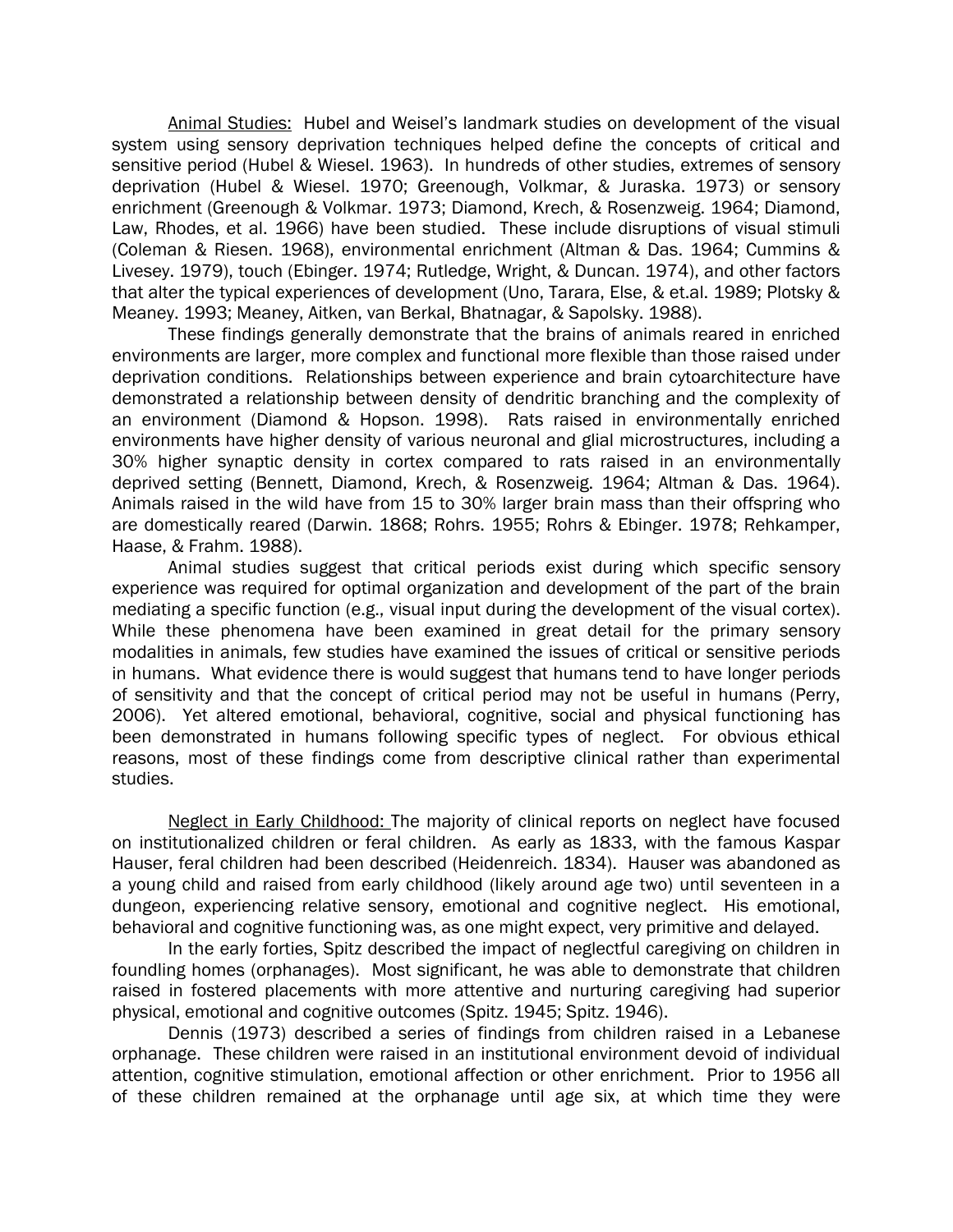Animal Studies: Hubel and Weisel's landmark studies on development of the visual system using sensory deprivation techniques helped define the concepts of critical and sensitive period (Hubel & Wiesel. 1963). In hundreds of other studies, extremes of sensory deprivation (Hubel & Wiesel. 1970; Greenough, Volkmar, & Juraska. 1973) or sensory enrichment (Greenough & Volkmar. 1973; Diamond, Krech, & Rosenzweig. 1964; Diamond, Law, Rhodes, et al. 1966) have been studied. These include disruptions of visual stimuli (Coleman & Riesen. 1968), environmental enrichment (Altman & Das. 1964; Cummins & Livesey. 1979), touch (Ebinger. 1974; Rutledge, Wright, & Duncan. 1974), and other factors that alter the typical experiences of development (Uno, Tarara, Else, & et.al. 1989; Plotsky & Meaney. 1993; Meaney, Aitken, van Berkal, Bhatnagar, & Sapolsky. 1988).

These findings generally demonstrate that the brains of animals reared in enriched environments are larger, more complex and functional more flexible than those raised under deprivation conditions. Relationships between experience and brain cytoarchitecture have demonstrated a relationship between density of dendritic branching and the complexity of an environment (Diamond & Hopson. 1998). Rats raised in environmentally enriched environments have higher density of various neuronal and glial microstructures, including a 30% higher synaptic density in cortex compared to rats raised in an environmentally deprived setting (Bennett, Diamond, Krech, & Rosenzweig. 1964; Altman & Das. 1964). Animals raised in the wild have from 15 to 30% larger brain mass than their offspring who are domestically reared (Darwin. 1868; Rohrs. 1955; Rohrs & Ebinger. 1978; Rehkamper, Haase, & Frahm. 1988).

Animal studies suggest that critical periods exist during which specific sensory experience was required for optimal organization and development of the part of the brain mediating a specific function (e.g., visual input during the development of the visual cortex). While these phenomena have been examined in great detail for the primary sensory modalities in animals, few studies have examined the issues of critical or sensitive periods in humans. What evidence there is would suggest that humans tend to have longer periods of sensitivity and that the concept of critical period may not be useful in humans (Perry, 2006). Yet altered emotional, behavioral, cognitive, social and physical functioning has been demonstrated in humans following specific types of neglect. For obvious ethical reasons, most of these findings come from descriptive clinical rather than experimental studies.

Neglect in Early Childhood: The majority of clinical reports on neglect have focused on institutionalized children or feral children. As early as 1833, with the famous Kaspar Hauser, feral children had been described (Heidenreich. 1834). Hauser was abandoned as a young child and raised from early childhood (likely around age two) until seventeen in a dungeon, experiencing relative sensory, emotional and cognitive neglect. His emotional, behavioral and cognitive functioning was, as one might expect, very primitive and delayed.

In the early forties, Spitz described the impact of neglectful caregiving on children in foundling homes (orphanages). Most significant, he was able to demonstrate that children raised in fostered placements with more attentive and nurturing caregiving had superior physical, emotional and cognitive outcomes (Spitz. 1945; Spitz. 1946).

Dennis (1973) described a series of findings from children raised in a Lebanese orphanage. These children were raised in an institutional environment devoid of individual attention, cognitive stimulation, emotional affection or other enrichment. Prior to 1956 all of these children remained at the orphanage until age six, at which time they were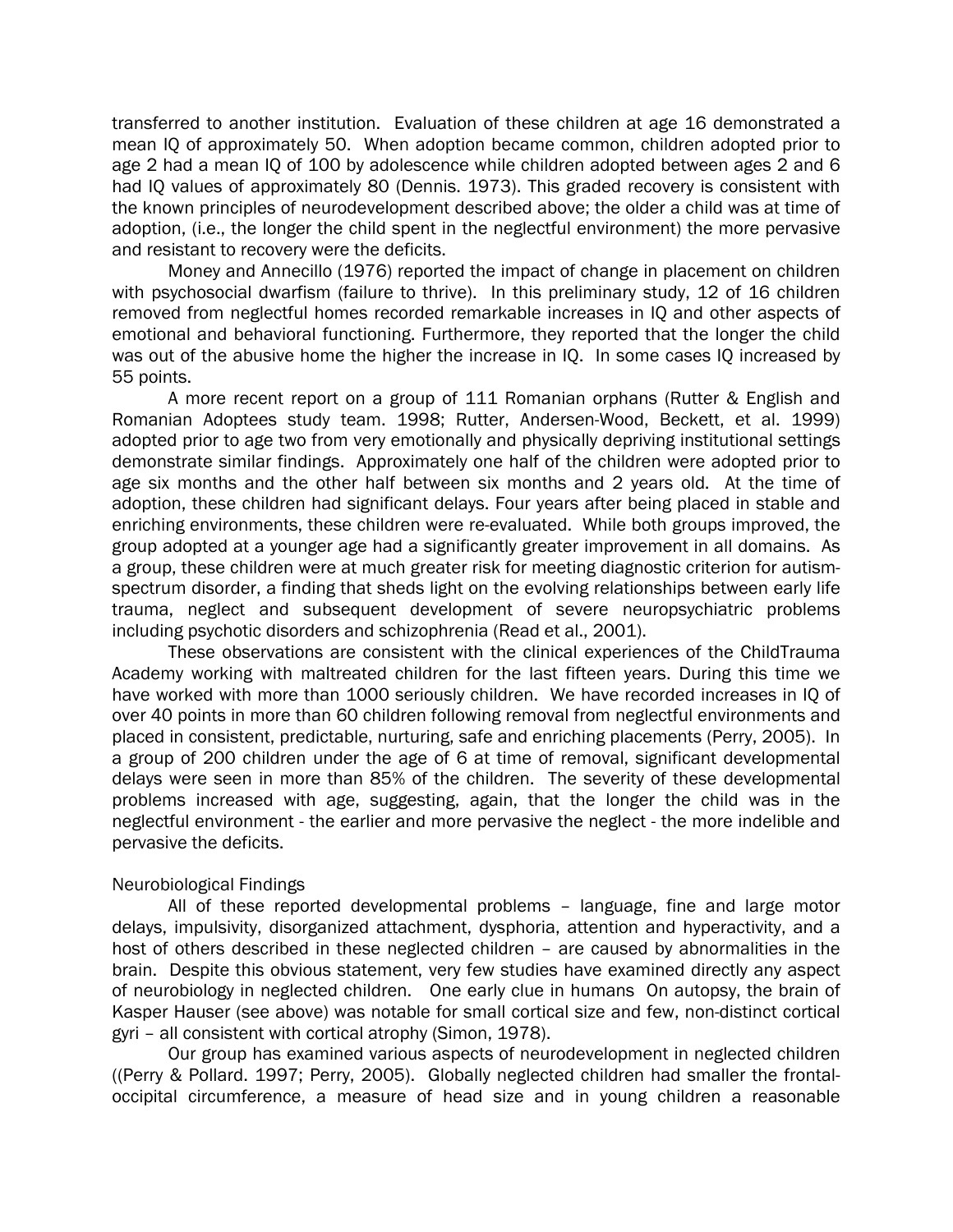transferred to another institution. Evaluation of these children at age 16 demonstrated a mean IQ of approximately 50. When adoption became common, children adopted prior to age 2 had a mean IQ of 100 by adolescence while children adopted between ages 2 and 6 had IQ values of approximately 80 (Dennis. 1973). This graded recovery is consistent with the known principles of neurodevelopment described above; the older a child was at time of adoption, (i.e., the longer the child spent in the neglectful environment) the more pervasive and resistant to recovery were the deficits.

Money and Annecillo (1976) reported the impact of change in placement on children with psychosocial dwarfism (failure to thrive). In this preliminary study, 12 of 16 children removed from neglectful homes recorded remarkable increases in IQ and other aspects of emotional and behavioral functioning. Furthermore, they reported that the longer the child was out of the abusive home the higher the increase in IQ. In some cases IQ increased by 55 points.

A more recent report on a group of 111 Romanian orphans (Rutter & English and Romanian Adoptees study team. 1998; Rutter, Andersen-Wood, Beckett, et al. 1999) adopted prior to age two from very emotionally and physically depriving institutional settings demonstrate similar findings. Approximately one half of the children were adopted prior to age six months and the other half between six months and 2 years old. At the time of adoption, these children had significant delays. Four years after being placed in stable and enriching environments, these children were re-evaluated. While both groups improved, the group adopted at a younger age had a significantly greater improvement in all domains. As a group, these children were at much greater risk for meeting diagnostic criterion for autismspectrum disorder, a finding that sheds light on the evolving relationships between early life trauma, neglect and subsequent development of severe neuropsychiatric problems including psychotic disorders and schizophrenia (Read et al., 2001).

These observations are consistent with the clinical experiences of the ChildTrauma Academy working with maltreated children for the last fifteen years. During this time we have worked with more than 1000 seriously children. We have recorded increases in IQ of over 40 points in more than 60 children following removal from neglectful environments and placed in consistent, predictable, nurturing, safe and enriching placements (Perry, 2005). In a group of 200 children under the age of 6 at time of removal, significant developmental delays were seen in more than 85% of the children. The severity of these developmental problems increased with age, suggesting, again, that the longer the child was in the neglectful environment - the earlier and more pervasive the neglect - the more indelible and pervasive the deficits.

#### Neurobiological Findings

All of these reported developmental problems – language, fine and large motor delays, impulsivity, disorganized attachment, dysphoria, attention and hyperactivity, and a host of others described in these neglected children – are caused by abnormalities in the brain. Despite this obvious statement, very few studies have examined directly any aspect of neurobiology in neglected children. One early clue in humans On autopsy, the brain of Kasper Hauser (see above) was notable for small cortical size and few, non-distinct cortical gyri – all consistent with cortical atrophy (Simon, 1978).

Our group has examined various aspects of neurodevelopment in neglected children ((Perry & Pollard. 1997; Perry, 2005). Globally neglected children had smaller the frontaloccipital circumference, a measure of head size and in young children a reasonable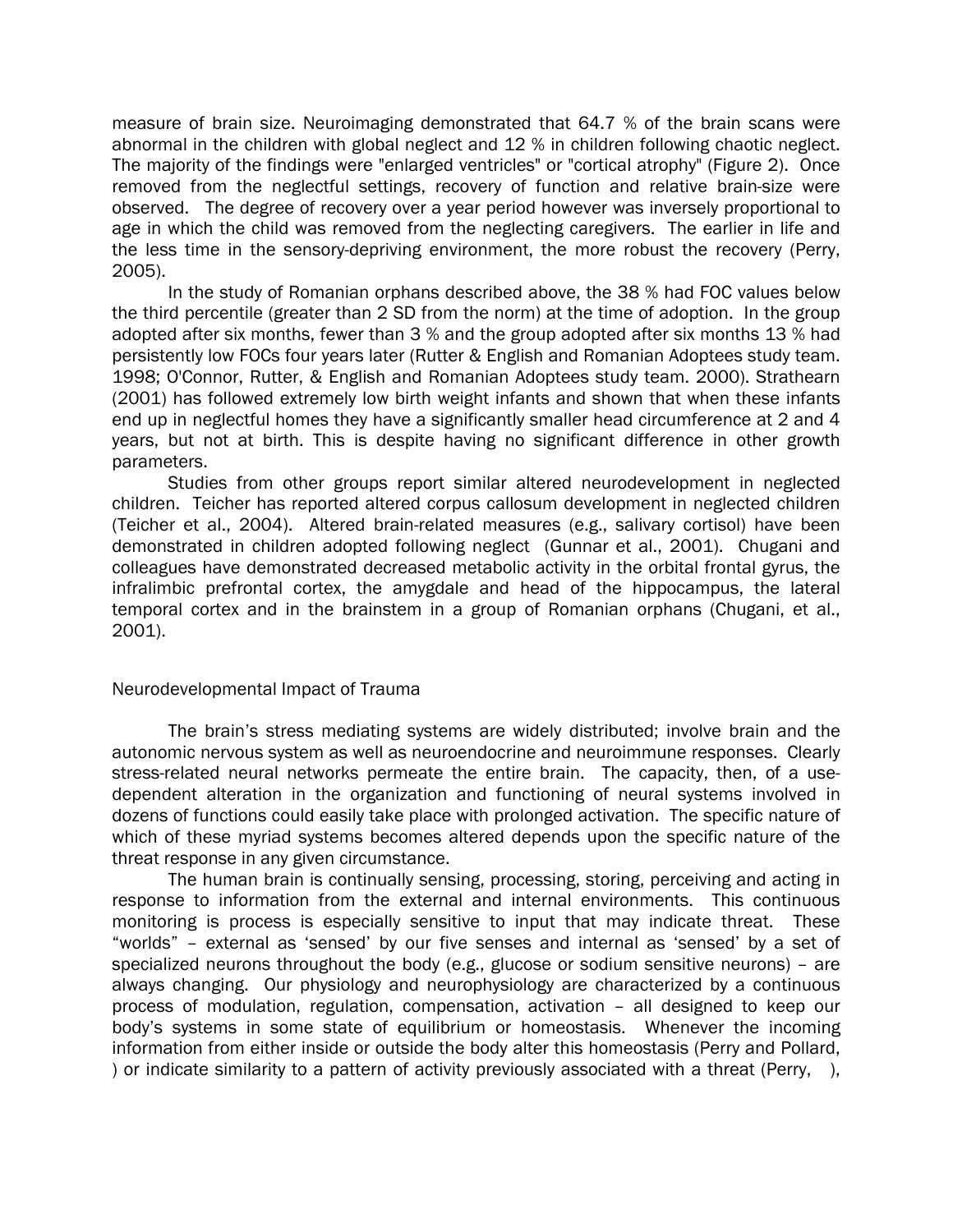measure of brain size. Neuroimaging demonstrated that 64.7 % of the brain scans were abnormal in the children with global neglect and 12 % in children following chaotic neglect. The majority of the findings were "enlarged ventricles" or "cortical atrophy" (Figure 2). Once removed from the neglectful settings, recovery of function and relative brain-size were observed. The degree of recovery over a year period however was inversely proportional to age in which the child was removed from the neglecting caregivers. The earlier in life and the less time in the sensory-depriving environment, the more robust the recovery (Perry, 2005).

In the study of Romanian orphans described above, the 38 % had FOC values below the third percentile (greater than 2 SD from the norm) at the time of adoption. In the group adopted after six months, fewer than 3 % and the group adopted after six months 13 % had persistently low FOCs four years later (Rutter & English and Romanian Adoptees study team. 1998; O'Connor, Rutter, & English and Romanian Adoptees study team. 2000). Strathearn (2001) has followed extremely low birth weight infants and shown that when these infants end up in neglectful homes they have a significantly smaller head circumference at 2 and 4 years, but not at birth. This is despite having no significant difference in other growth parameters.

Studies from other groups report similar altered neurodevelopment in neglected children. Teicher has reported altered corpus callosum development in neglected children (Teicher et al., 2004). Altered brain-related measures (e.g., salivary cortisol) have been demonstrated in children adopted following neglect (Gunnar et al., 2001). Chugani and colleagues have demonstrated decreased metabolic activity in the orbital frontal gyrus, the infralimbic prefrontal cortex, the amygdale and head of the hippocampus, the lateral temporal cortex and in the brainstem in a group of Romanian orphans (Chugani, et al., 2001).

#### Neurodevelopmental Impact of Trauma

The brain's stress mediating systems are widely distributed; involve brain and the autonomic nervous system as well as neuroendocrine and neuroimmune responses. Clearly stress-related neural networks permeate the entire brain. The capacity, then, of a usedependent alteration in the organization and functioning of neural systems involved in dozens of functions could easily take place with prolonged activation. The specific nature of which of these myriad systems becomes altered depends upon the specific nature of the threat response in any given circumstance.

The human brain is continually sensing, processing, storing, perceiving and acting in response to information from the external and internal environments. This continuous monitoring is process is especially sensitive to input that may indicate threat. These "worlds" – external as 'sensed' by our five senses and internal as 'sensed' by a set of specialized neurons throughout the body (e.g., glucose or sodium sensitive neurons) – are always changing. Our physiology and neurophysiology are characterized by a continuous process of modulation, regulation, compensation, activation – all designed to keep our body's systems in some state of equilibrium or homeostasis. Whenever the incoming information from either inside or outside the body alter this homeostasis (Perry and Pollard, ) or indicate similarity to a pattern of activity previously associated with a threat (Perry, ),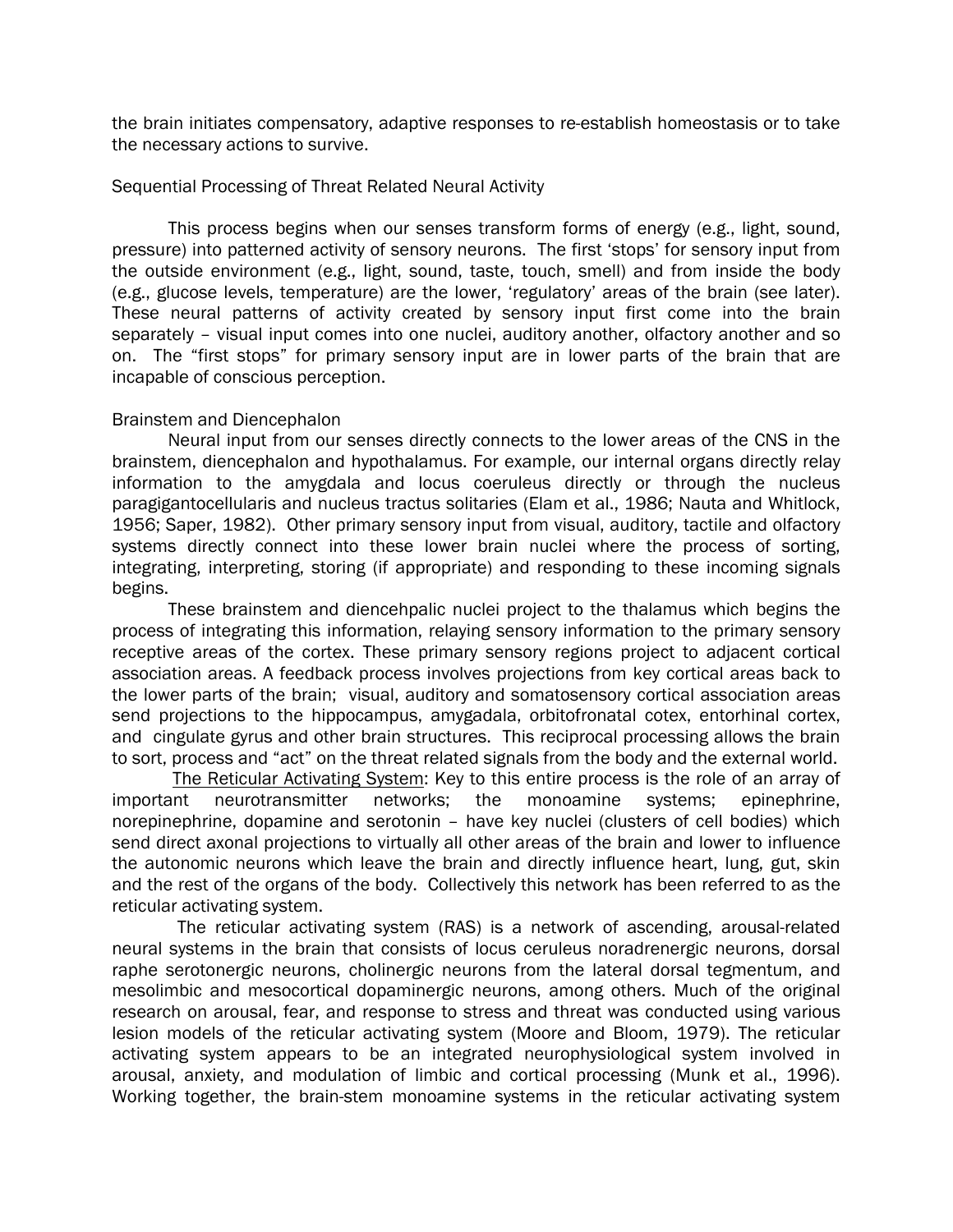the brain initiates compensatory, adaptive responses to re-establish homeostasis or to take the necessary actions to survive.

#### Sequential Processing of Threat Related Neural Activity

This process begins when our senses transform forms of energy (e.g., light, sound, pressure) into patterned activity of sensory neurons. The first 'stops' for sensory input from the outside environment (e.g., light, sound, taste, touch, smell) and from inside the body (e.g., glucose levels, temperature) are the lower, 'regulatory' areas of the brain (see later). These neural patterns of activity created by sensory input first come into the brain separately – visual input comes into one nuclei, auditory another, olfactory another and so on. The "first stops" for primary sensory input are in lower parts of the brain that are incapable of conscious perception.

## Brainstem and Diencephalon

Neural input from our senses directly connects to the lower areas of the CNS in the brainstem, diencephalon and hypothalamus. For example, our internal organs directly relay information to the amygdala and locus coeruleus directly or through the nucleus paragigantocellularis and nucleus tractus solitaries (Elam et al., 1986; Nauta and Whitlock, 1956; Saper, 1982). Other primary sensory input from visual, auditory, tactile and olfactory systems directly connect into these lower brain nuclei where the process of sorting, integrating, interpreting, storing (if appropriate) and responding to these incoming signals begins.

These brainstem and diencehpalic nuclei project to the thalamus which begins the process of integrating this information, relaying sensory information to the primary sensory receptive areas of the cortex. These primary sensory regions project to adjacent cortical association areas. A feedback process involves projections from key cortical areas back to the lower parts of the brain; visual, auditory and somatosensory cortical association areas send projections to the hippocampus, amygadala, orbitofronatal cotex, entorhinal cortex, and cingulate gyrus and other brain structures. This reciprocal processing allows the brain to sort, process and "act" on the threat related signals from the body and the external world.

The Reticular Activating System: Key to this entire process is the role of an array of important neurotransmitter networks; the monoamine systems; epinephrine, norepinephrine, dopamine and serotonin – have key nuclei (clusters of cell bodies) which send direct axonal projections to virtually all other areas of the brain and lower to influence the autonomic neurons which leave the brain and directly influence heart, lung, gut, skin and the rest of the organs of the body. Collectively this network has been referred to as the reticular activating system.

 The reticular activating system (RAS) is a network of ascending, arousal-related neural systems in the brain that consists of locus ceruleus noradrenergic neurons, dorsal raphe serotonergic neurons, cholinergic neurons from the lateral dorsal tegmentum, and mesolimbic and mesocortical dopaminergic neurons, among others. Much of the original research on arousal, fear, and response to stress and threat was conducted using various lesion models of the reticular activating system (Moore and Bloom, 1979). The reticular activating system appears to be an integrated neurophysiological system involved in arousal, anxiety, and modulation of limbic and cortical processing (Munk et al., 1996). Working together, the brain-stem monoamine systems in the reticular activating system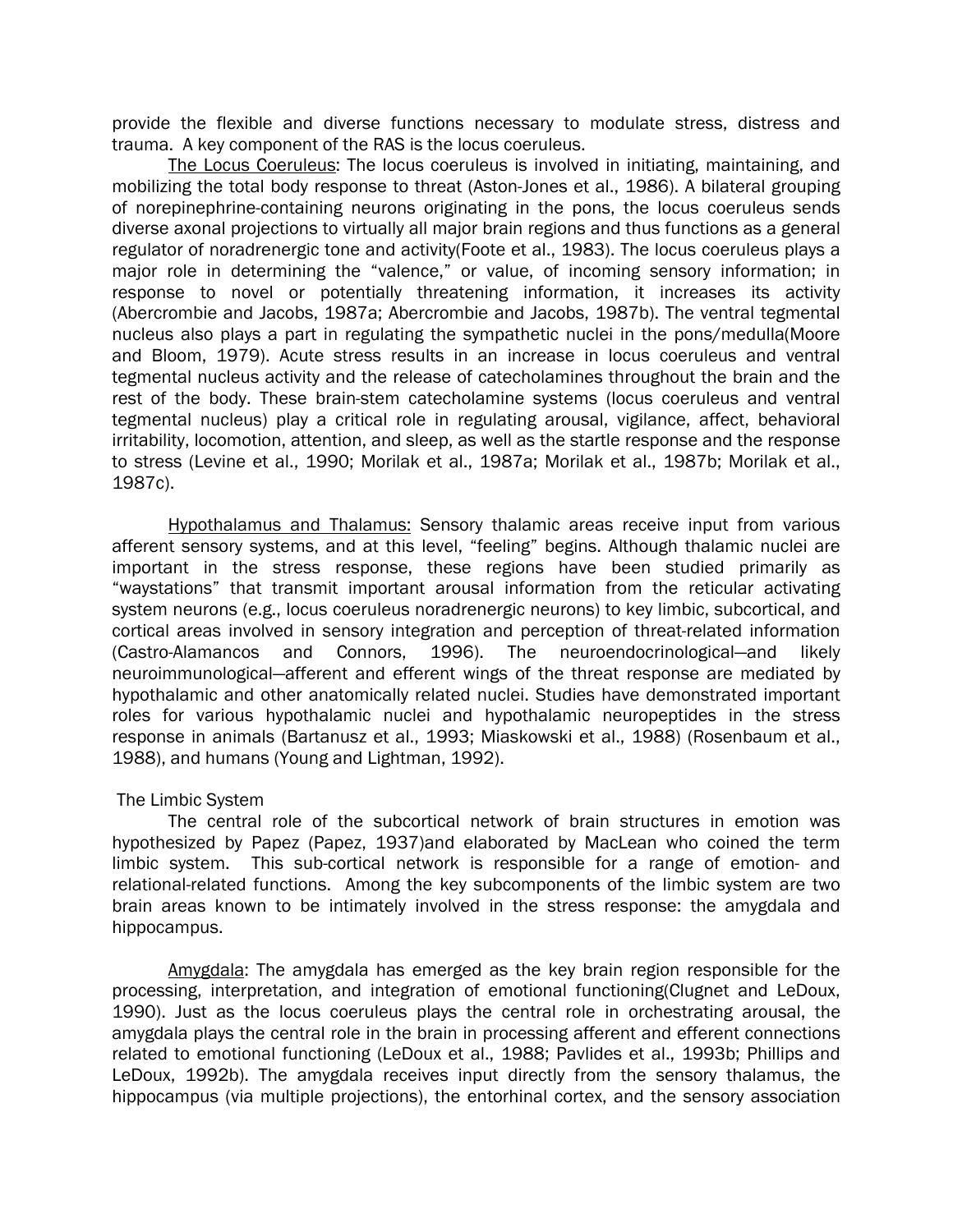provide the flexible and diverse functions necessary to modulate stress, distress and trauma. A key component of the RAS is the locus coeruleus.

The Locus Coeruleus: The locus coeruleus is involved in initiating, maintaining, and mobilizing the total body response to threat (Aston-Jones et al., 1986). A bilateral grouping of norepinephrine-containing neurons originating in the pons, the locus coeruleus sends diverse axonal projections to virtually all major brain regions and thus functions as a general regulator of noradrenergic tone and activity(Foote et al., 1983). The locus coeruleus plays a major role in determining the "valence," or value, of incoming sensory information; in response to novel or potentially threatening information, it increases its activity (Abercrombie and Jacobs, 1987a; Abercrombie and Jacobs, 1987b). The ventral tegmental nucleus also plays a part in regulating the sympathetic nuclei in the pons/medulla(Moore and Bloom, 1979). Acute stress results in an increase in locus coeruleus and ventral tegmental nucleus activity and the release of catecholamines throughout the brain and the rest of the body. These brain-stem catecholamine systems (locus coeruleus and ventral tegmental nucleus) play a critical role in regulating arousal, vigilance, affect, behavioral irritability, locomotion, attention, and sleep, as well as the startle response and the response to stress (Levine et al., 1990; Morilak et al., 1987a; Morilak et al., 1987b; Morilak et al., 1987c).

Hypothalamus and Thalamus: Sensory thalamic areas receive input from various afferent sensory systems, and at this level, "feeling" begins. Although thalamic nuclei are important in the stress response, these regions have been studied primarily as "waystations" that transmit important arousal information from the reticular activating system neurons (e.g., locus coeruleus noradrenergic neurons) to key limbic, subcortical, and cortical areas involved in sensory integration and perception of threat-related information (Castro-Alamancos and Connors, 1996). The neuroendocrinological—and likely neuroimmunological—afferent and efferent wings of the threat response are mediated by hypothalamic and other anatomically related nuclei. Studies have demonstrated important roles for various hypothalamic nuclei and hypothalamic neuropeptides in the stress response in animals (Bartanusz et al., 1993; Miaskowski et al., 1988) (Rosenbaum et al., 1988), and humans (Young and Lightman, 1992).

#### The Limbic System

The central role of the subcortical network of brain structures in emotion was hypothesized by Papez (Papez, 1937)and elaborated by MacLean who coined the term limbic system. This sub-cortical network is responsible for a range of emotion- and relational-related functions. Among the key subcomponents of the limbic system are two brain areas known to be intimately involved in the stress response: the amygdala and hippocampus.

Amygdala: The amygdala has emerged as the key brain region responsible for the processing, interpretation, and integration of emotional functioning(Clugnet and LeDoux, 1990). Just as the locus coeruleus plays the central role in orchestrating arousal, the amygdala plays the central role in the brain in processing afferent and efferent connections related to emotional functioning (LeDoux et al., 1988; Pavlides et al., 1993b; Phillips and LeDoux, 1992b). The amygdala receives input directly from the sensory thalamus, the hippocampus (via multiple projections), the entorhinal cortex, and the sensory association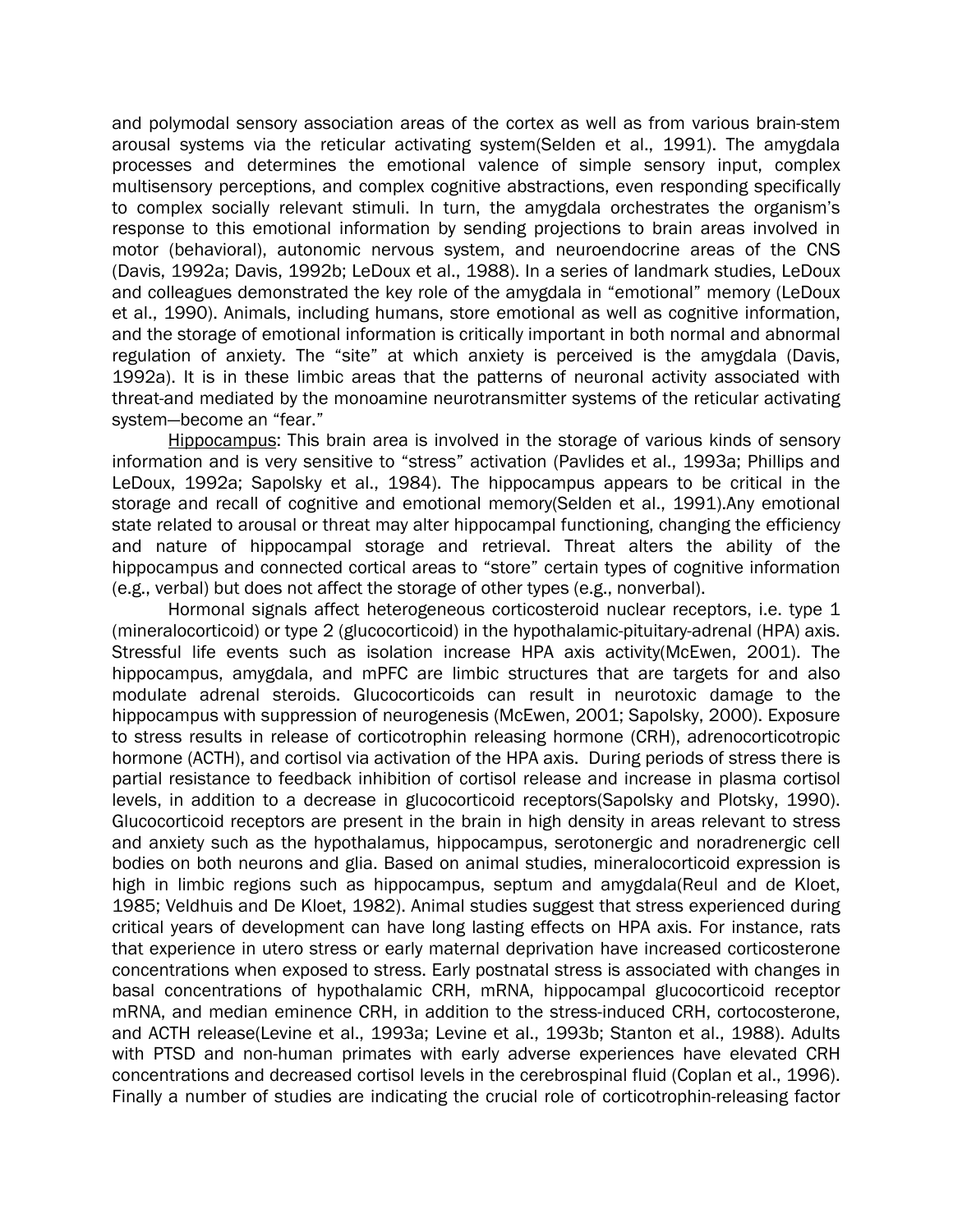and polymodal sensory association areas of the cortex as well as from various brain-stem arousal systems via the reticular activating system(Selden et al., 1991). The amygdala processes and determines the emotional valence of simple sensory input, complex multisensory perceptions, and complex cognitive abstractions, even responding specifically to complex socially relevant stimuli. In turn, the amygdala orchestrates the organism's response to this emotional information by sending projections to brain areas involved in motor (behavioral), autonomic nervous system, and neuroendocrine areas of the CNS (Davis, 1992a; Davis, 1992b; LeDoux et al., 1988). In a series of landmark studies, LeDoux and colleagues demonstrated the key role of the amygdala in "emotional" memory (LeDoux et al., 1990). Animals, including humans, store emotional as well as cognitive information, and the storage of emotional information is critically important in both normal and abnormal regulation of anxiety. The "site" at which anxiety is perceived is the amygdala (Davis, 1992a). It is in these limbic areas that the patterns of neuronal activity associated with threat-and mediated by the monoamine neurotransmitter systems of the reticular activating system—become an "fear."

Hippocampus: This brain area is involved in the storage of various kinds of sensory information and is very sensitive to "stress" activation (Pavlides et al., 1993a; Phillips and LeDoux, 1992a; Sapolsky et al., 1984). The hippocampus appears to be critical in the storage and recall of cognitive and emotional memory(Selden et al., 1991).Any emotional state related to arousal or threat may alter hippocampal functioning, changing the efficiency and nature of hippocampal storage and retrieval. Threat alters the ability of the hippocampus and connected cortical areas to "store" certain types of cognitive information (e.g., verbal) but does not affect the storage of other types (e.g., nonverbal).

Hormonal signals affect heterogeneous corticosteroid nuclear receptors, i.e. type 1 (mineralocorticoid) or type 2 (glucocorticoid) in the hypothalamic-pituitary-adrenal (HPA) axis. Stressful life events such as isolation increase HPA axis activity(McEwen, 2001). The hippocampus, amygdala, and mPFC are limbic structures that are targets for and also modulate adrenal steroids. Glucocorticoids can result in neurotoxic damage to the hippocampus with suppression of neurogenesis (McEwen, 2001; Sapolsky, 2000). Exposure to stress results in release of corticotrophin releasing hormone (CRH), adrenocorticotropic hormone (ACTH), and cortisol via activation of the HPA axis. During periods of stress there is partial resistance to feedback inhibition of cortisol release and increase in plasma cortisol levels, in addition to a decrease in glucocorticoid receptors(Sapolsky and Plotsky, 1990). Glucocorticoid receptors are present in the brain in high density in areas relevant to stress and anxiety such as the hypothalamus, hippocampus, serotonergic and noradrenergic cell bodies on both neurons and glia. Based on animal studies, mineralocorticoid expression is high in limbic regions such as hippocampus, septum and amygdala(Reul and de Kloet, 1985; Veldhuis and De Kloet, 1982). Animal studies suggest that stress experienced during critical years of development can have long lasting effects on HPA axis. For instance, rats that experience in utero stress or early maternal deprivation have increased corticosterone concentrations when exposed to stress. Early postnatal stress is associated with changes in basal concentrations of hypothalamic CRH, mRNA, hippocampal glucocorticoid receptor mRNA, and median eminence CRH, in addition to the stress-induced CRH, cortocosterone, and ACTH release(Levine et al., 1993a; Levine et al., 1993b; Stanton et al., 1988). Adults with PTSD and non-human primates with early adverse experiences have elevated CRH concentrations and decreased cortisol levels in the cerebrospinal fluid (Coplan et al., 1996). Finally a number of studies are indicating the crucial role of corticotrophin-releasing factor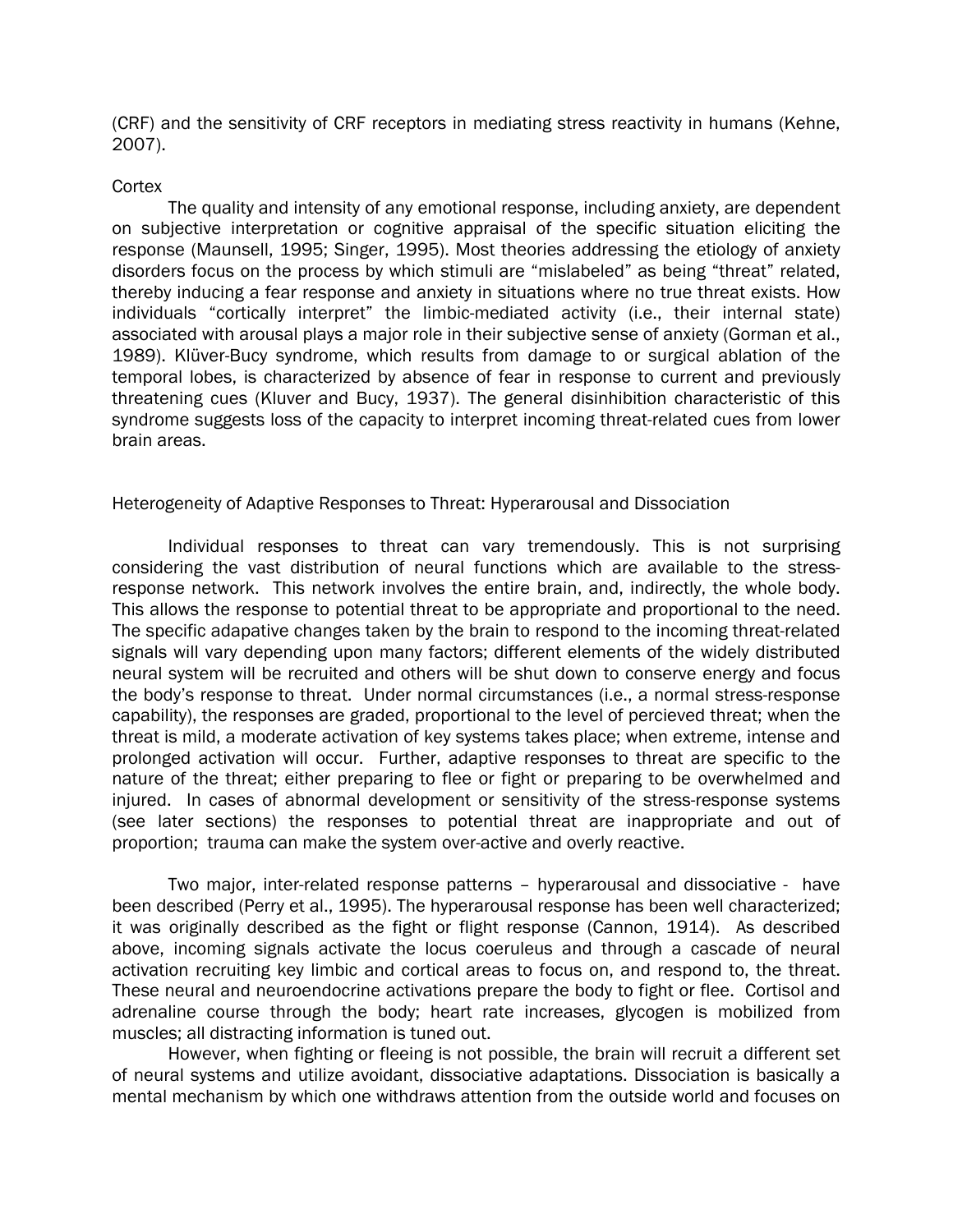(CRF) and the sensitivity of CRF receptors in mediating stress reactivity in humans (Kehne, 2007).

#### **Cortex**

The quality and intensity of any emotional response, including anxiety, are dependent on subjective interpretation or cognitive appraisal of the specific situation eliciting the response (Maunsell, 1995; Singer, 1995). Most theories addressing the etiology of anxiety disorders focus on the process by which stimuli are "mislabeled" as being "threat" related, thereby inducing a fear response and anxiety in situations where no true threat exists. How individuals "cortically interpret" the limbic-mediated activity (i.e., their internal state) associated with arousal plays a major role in their subjective sense of anxiety (Gorman et al., 1989). Klüver-Bucy syndrome, which results from damage to or surgical ablation of the temporal lobes, is characterized by absence of fear in response to current and previously threatening cues (Kluver and Bucy, 1937). The general disinhibition characteristic of this syndrome suggests loss of the capacity to interpret incoming threat-related cues from lower brain areas.

## Heterogeneity of Adaptive Responses to Threat: Hyperarousal and Dissociation

Individual responses to threat can vary tremendously. This is not surprising considering the vast distribution of neural functions which are available to the stressresponse network. This network involves the entire brain, and, indirectly, the whole body. This allows the response to potential threat to be appropriate and proportional to the need. The specific adapative changes taken by the brain to respond to the incoming threat-related signals will vary depending upon many factors; different elements of the widely distributed neural system will be recruited and others will be shut down to conserve energy and focus the body's response to threat. Under normal circumstances (i.e., a normal stress-response capability), the responses are graded, proportional to the level of percieved threat; when the threat is mild, a moderate activation of key systems takes place; when extreme, intense and prolonged activation will occur. Further, adaptive responses to threat are specific to the nature of the threat; either preparing to flee or fight or preparing to be overwhelmed and injured. In cases of abnormal development or sensitivity of the stress-response systems (see later sections) the responses to potential threat are inappropriate and out of proportion; trauma can make the system over-active and overly reactive.

Two major, inter-related response patterns – hyperarousal and dissociative - have been described (Perry et al., 1995). The hyperarousal response has been well characterized; it was originally described as the fight or flight response (Cannon, 1914). As described above, incoming signals activate the locus coeruleus and through a cascade of neural activation recruiting key limbic and cortical areas to focus on, and respond to, the threat. These neural and neuroendocrine activations prepare the body to fight or flee. Cortisol and adrenaline course through the body; heart rate increases, glycogen is mobilized from muscles; all distracting information is tuned out.

However, when fighting or fleeing is not possible, the brain will recruit a different set of neural systems and utilize avoidant, dissociative adaptations. Dissociation is basically a mental mechanism by which one withdraws attention from the outside world and focuses on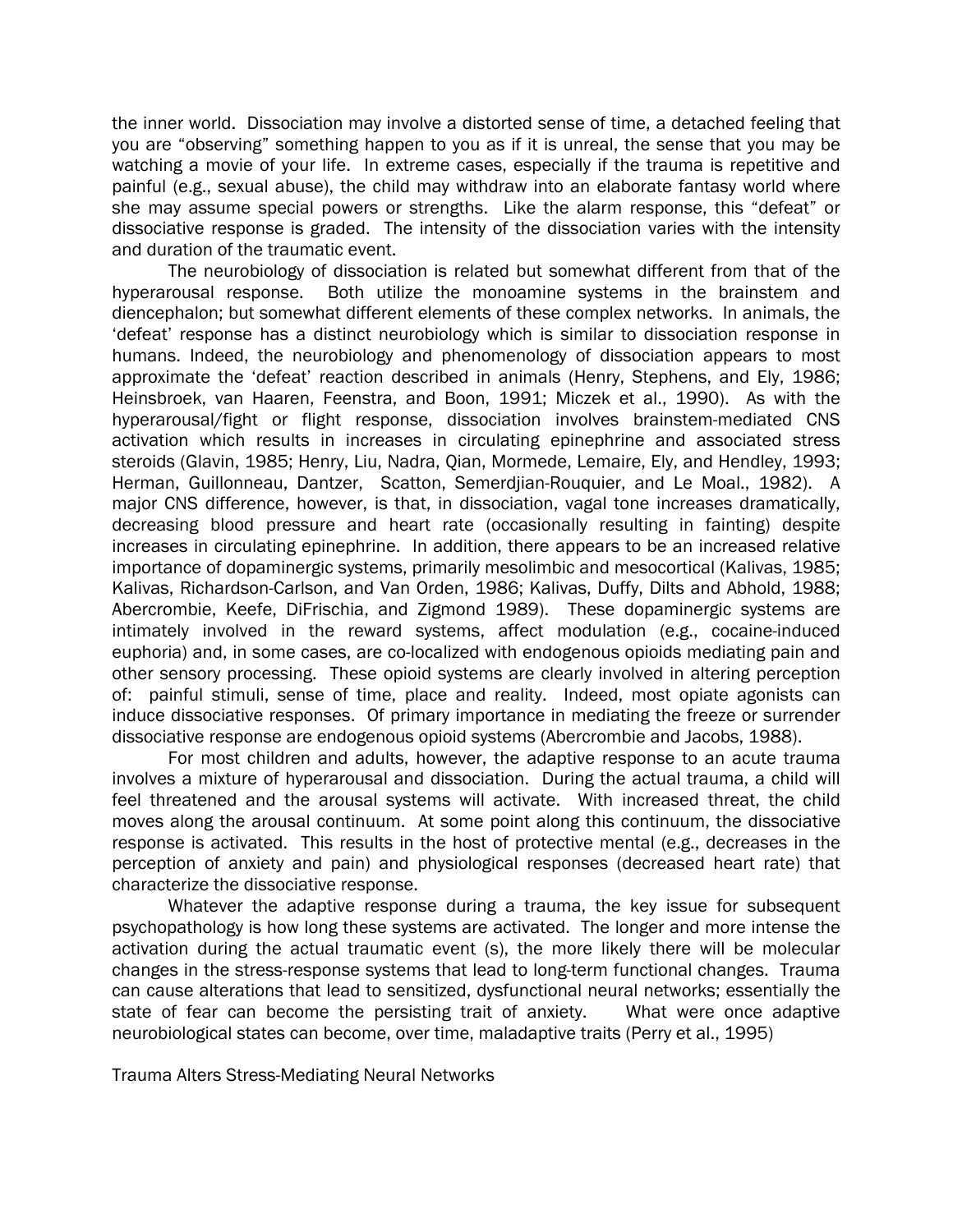the inner world. Dissociation may involve a distorted sense of time, a detached feeling that you are "observing" something happen to you as if it is unreal, the sense that you may be watching a movie of your life. In extreme cases, especially if the trauma is repetitive and painful (e.g., sexual abuse), the child may withdraw into an elaborate fantasy world where she may assume special powers or strengths. Like the alarm response, this "defeat" or dissociative response is graded. The intensity of the dissociation varies with the intensity and duration of the traumatic event.

The neurobiology of dissociation is related but somewhat different from that of the hyperarousal response. Both utilize the monoamine systems in the brainstem and diencephalon; but somewhat different elements of these complex networks. In animals, the 'defeat' response has a distinct neurobiology which is similar to dissociation response in humans. Indeed, the neurobiology and phenomenology of dissociation appears to most approximate the 'defeat' reaction described in animals (Henry, Stephens, and Ely, 1986; Heinsbroek, van Haaren, Feenstra, and Boon, 1991; Miczek et al., 1990). As with the hyperarousal/fight or flight response, dissociation involves brainstem-mediated CNS activation which results in increases in circulating epinephrine and associated stress steroids (Glavin, 1985; Henry, Liu, Nadra, Qian, Mormede, Lemaire, Ely, and Hendley, 1993; Herman, Guillonneau, Dantzer, Scatton, Semerdjian-Rouquier, and Le Moal., 1982). A major CNS difference, however, is that, in dissociation, vagal tone increases dramatically, decreasing blood pressure and heart rate (occasionally resulting in fainting) despite increases in circulating epinephrine. In addition, there appears to be an increased relative importance of dopaminergic systems, primarily mesolimbic and mesocortical (Kalivas, 1985; Kalivas, Richardson-Carlson, and Van Orden, 1986; Kalivas, Duffy, Dilts and Abhold, 1988; Abercrombie, Keefe, DiFrischia, and Zigmond 1989). These dopaminergic systems are intimately involved in the reward systems, affect modulation (e.g., cocaine-induced euphoria) and, in some cases, are co-localized with endogenous opioids mediating pain and other sensory processing. These opioid systems are clearly involved in altering perception of: painful stimuli, sense of time, place and reality. Indeed, most opiate agonists can induce dissociative responses. Of primary importance in mediating the freeze or surrender dissociative response are endogenous opioid systems (Abercrombie and Jacobs, 1988).

For most children and adults, however, the adaptive response to an acute trauma involves a mixture of hyperarousal and dissociation. During the actual trauma, a child will feel threatened and the arousal systems will activate. With increased threat, the child moves along the arousal continuum. At some point along this continuum, the dissociative response is activated. This results in the host of protective mental (e.g., decreases in the perception of anxiety and pain) and physiological responses (decreased heart rate) that characterize the dissociative response.

Whatever the adaptive response during a trauma, the key issue for subsequent psychopathology is how long these systems are activated. The longer and more intense the activation during the actual traumatic event (s), the more likely there will be molecular changes in the stress-response systems that lead to long-term functional changes. Trauma can cause alterations that lead to sensitized, dysfunctional neural networks; essentially the state of fear can become the persisting trait of anxiety. What were once adaptive neurobiological states can become, over time, maladaptive traits (Perry et al., 1995)

Trauma Alters Stress-Mediating Neural Networks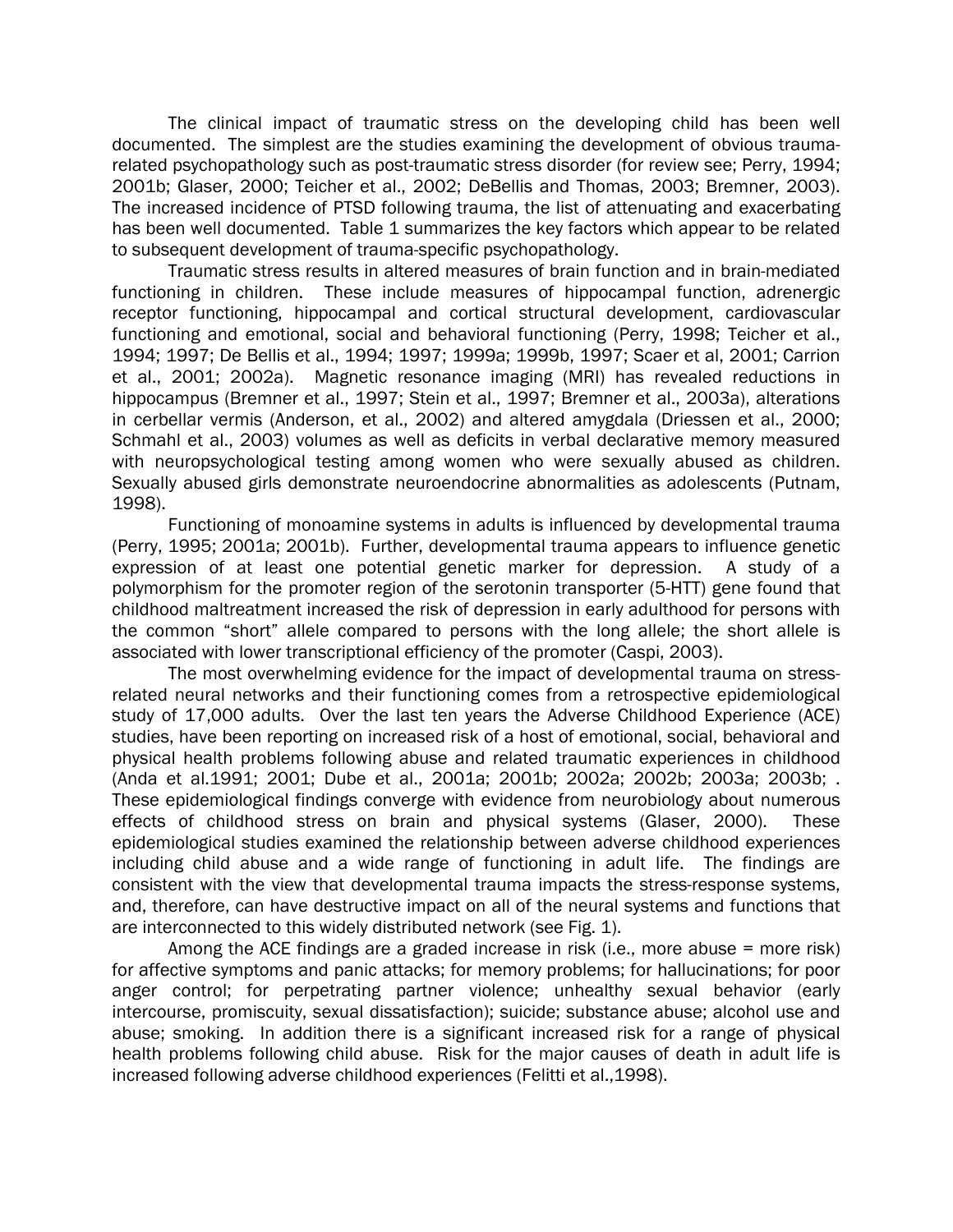The clinical impact of traumatic stress on the developing child has been well documented. The simplest are the studies examining the development of obvious traumarelated psychopathology such as post-traumatic stress disorder (for review see; Perry, 1994; 2001b; Glaser, 2000; Teicher et al., 2002; DeBellis and Thomas, 2003; Bremner, 2003). The increased incidence of PTSD following trauma, the list of attenuating and exacerbating has been well documented. Table 1 summarizes the key factors which appear to be related to subsequent development of trauma-specific psychopathology.

Traumatic stress results in altered measures of brain function and in brain-mediated functioning in children. These include measures of hippocampal function, adrenergic receptor functioning, hippocampal and cortical structural development, cardiovascular functioning and emotional, social and behavioral functioning (Perry, 1998; Teicher et al., 1994; 1997; De Bellis et al., 1994; 1997; 1999a; 1999b, 1997; Scaer et al, 2001; Carrion et al., 2001; 2002a). Magnetic resonance imaging (MRI) has revealed reductions in hippocampus (Bremner et al., 1997; Stein et al., 1997; Bremner et al., 2003a), alterations in cerbellar vermis (Anderson, et al., 2002) and altered amygdala (Driessen et al., 2000; Schmahl et al., 2003) volumes as well as deficits in verbal declarative memory measured with neuropsychological testing among women who were sexually abused as children. Sexually abused girls demonstrate neuroendocrine abnormalities as adolescents (Putnam, 1998).

Functioning of monoamine systems in adults is influenced by developmental trauma (Perry, 1995; 2001a; 2001b). Further, developmental trauma appears to influence genetic expression of at least one potential genetic marker for depression. A study of a polymorphism for the promoter region of the serotonin transporter (5-HTT) gene found that childhood maltreatment increased the risk of depression in early adulthood for persons with the common "short" allele compared to persons with the long allele; the short allele is associated with lower transcriptional efficiency of the promoter (Caspi, 2003).

The most overwhelming evidence for the impact of developmental trauma on stressrelated neural networks and their functioning comes from a retrospective epidemiological study of 17,000 adults. Over the last ten years the Adverse Childhood Experience (ACE) studies, have been reporting on increased risk of a host of emotional, social, behavioral and physical health problems following abuse and related traumatic experiences in childhood (Anda et al.1991; 2001; Dube et al., 2001a; 2001b; 2002a; 2002b; 2003a; 2003b; . These epidemiological findings converge with evidence from neurobiology about numerous effects of childhood stress on brain and physical systems (Glaser, 2000). These epidemiological studies examined the relationship between adverse childhood experiences including child abuse and a wide range of functioning in adult life. The findings are consistent with the view that developmental trauma impacts the stress-response systems, and, therefore, can have destructive impact on all of the neural systems and functions that are interconnected to this widely distributed network (see Fig. 1).

Among the ACE findings are a graded increase in risk (i.e., more abuse = more risk) for affective symptoms and panic attacks; for memory problems; for hallucinations; for poor anger control; for perpetrating partner violence; unhealthy sexual behavior (early intercourse, promiscuity, sexual dissatisfaction); suicide; substance abuse; alcohol use and abuse; smoking. In addition there is a significant increased risk for a range of physical health problems following child abuse. Risk for the major causes of death in adult life is increased following adverse childhood experiences (Felitti et al.,1998).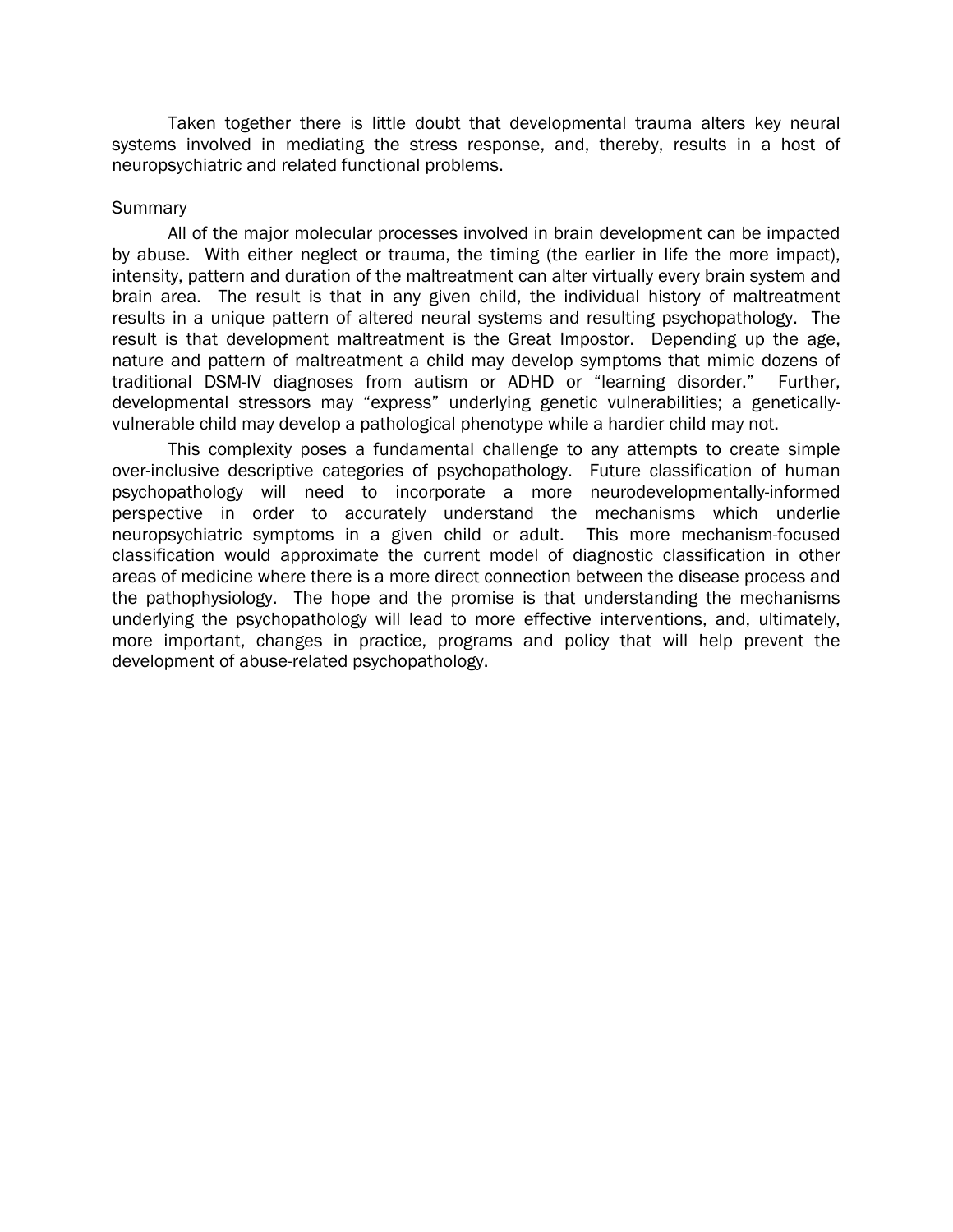Taken together there is little doubt that developmental trauma alters key neural systems involved in mediating the stress response, and, thereby, results in a host of neuropsychiatric and related functional problems.

#### **Summary**

All of the major molecular processes involved in brain development can be impacted by abuse. With either neglect or trauma, the timing (the earlier in life the more impact), intensity, pattern and duration of the maltreatment can alter virtually every brain system and brain area. The result is that in any given child, the individual history of maltreatment results in a unique pattern of altered neural systems and resulting psychopathology. The result is that development maltreatment is the Great Impostor. Depending up the age, nature and pattern of maltreatment a child may develop symptoms that mimic dozens of traditional DSM-IV diagnoses from autism or ADHD or "learning disorder." Further, developmental stressors may "express" underlying genetic vulnerabilities; a geneticallyvulnerable child may develop a pathological phenotype while a hardier child may not.

This complexity poses a fundamental challenge to any attempts to create simple over-inclusive descriptive categories of psychopathology. Future classification of human psychopathology will need to incorporate a more neurodevelopmentally-informed perspective in order to accurately understand the mechanisms which underlie neuropsychiatric symptoms in a given child or adult. This more mechanism-focused classification would approximate the current model of diagnostic classification in other areas of medicine where there is a more direct connection between the disease process and the pathophysiology. The hope and the promise is that understanding the mechanisms underlying the psychopathology will lead to more effective interventions, and, ultimately, more important, changes in practice, programs and policy that will help prevent the development of abuse-related psychopathology.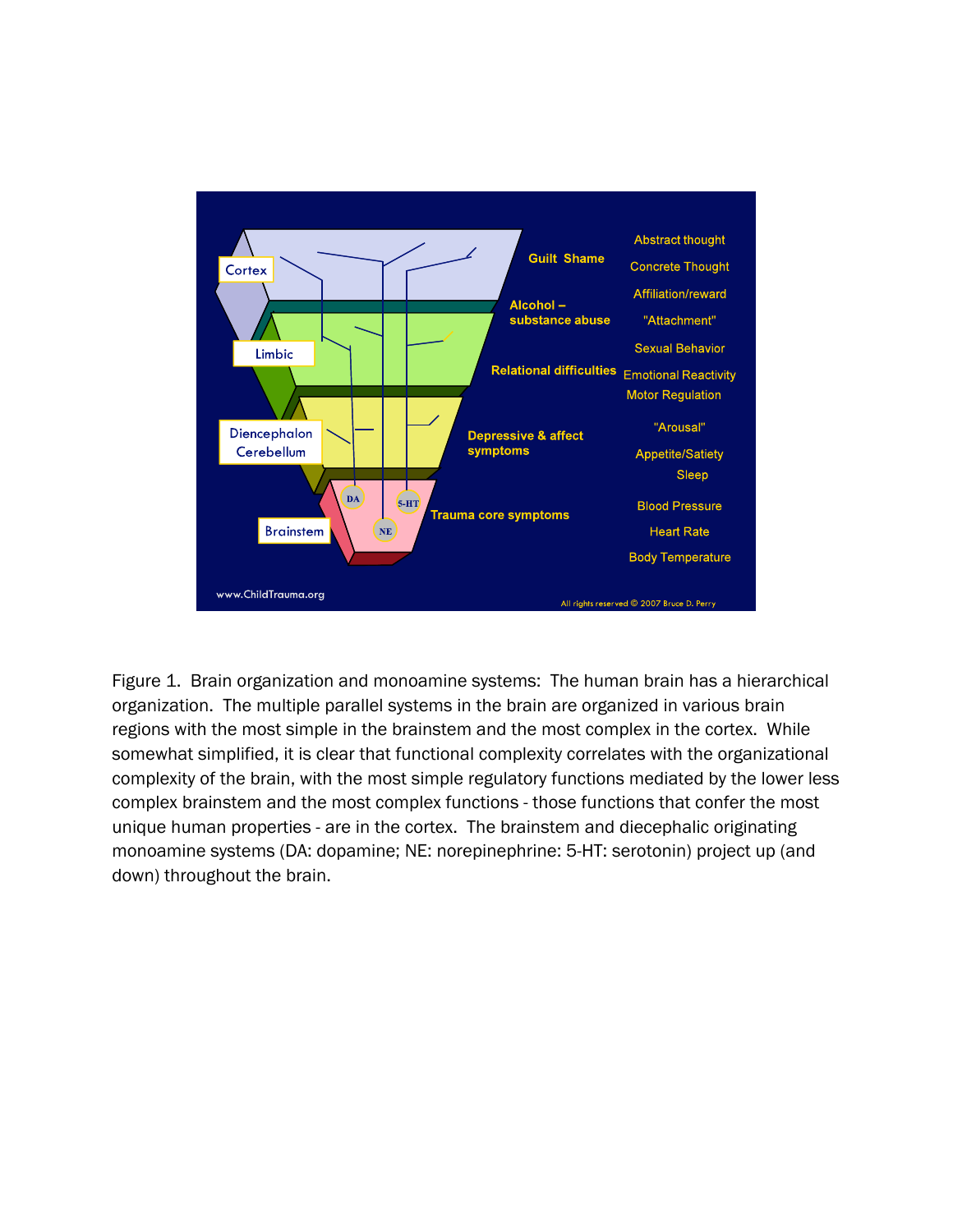

Figure 1. Brain organization and monoamine systems: The human brain has a hierarchical organization. The multiple parallel systems in the brain are organized in various brain regions with the most simple in the brainstem and the most complex in the cortex. While somewhat simplified, it is clear that functional complexity correlates with the organizational complexity of the brain, with the most simple regulatory functions mediated by the lower less complex brainstem and the most complex functions - those functions that confer the most unique human properties - are in the cortex. The brainstem and diecephalic originating monoamine systems (DA: dopamine; NE: norepinephrine: 5-HT: serotonin) project up (and down) throughout the brain.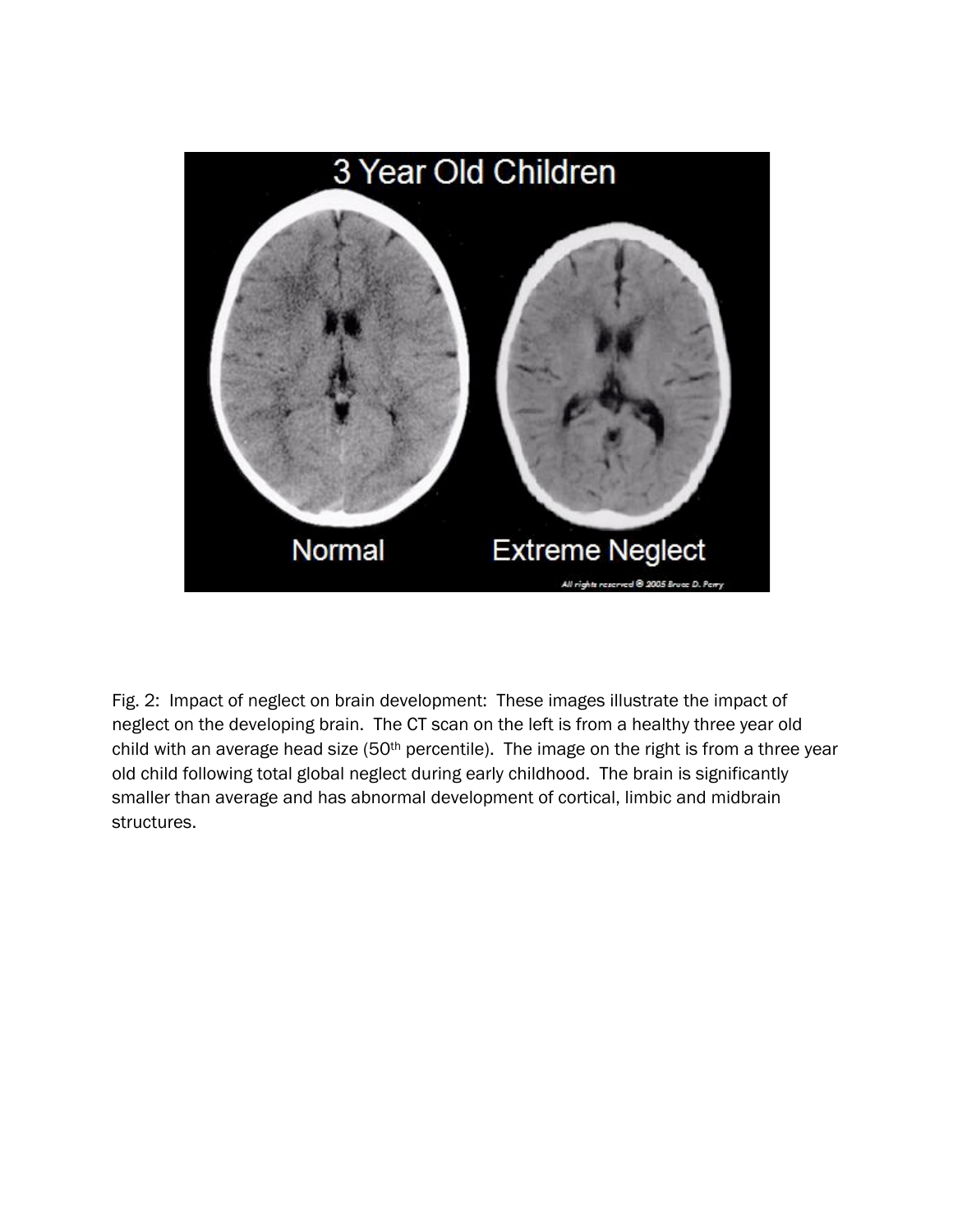

Fig. 2: Impact of neglect on brain development: These images illustrate the impact of neglect on the developing brain. The CT scan on the left is from a healthy three year old child with an average head size (50<sup>th</sup> percentile). The image on the right is from a three year old child following total global neglect during early childhood. The brain is significantly smaller than average and has abnormal development of cortical, limbic and midbrain structures.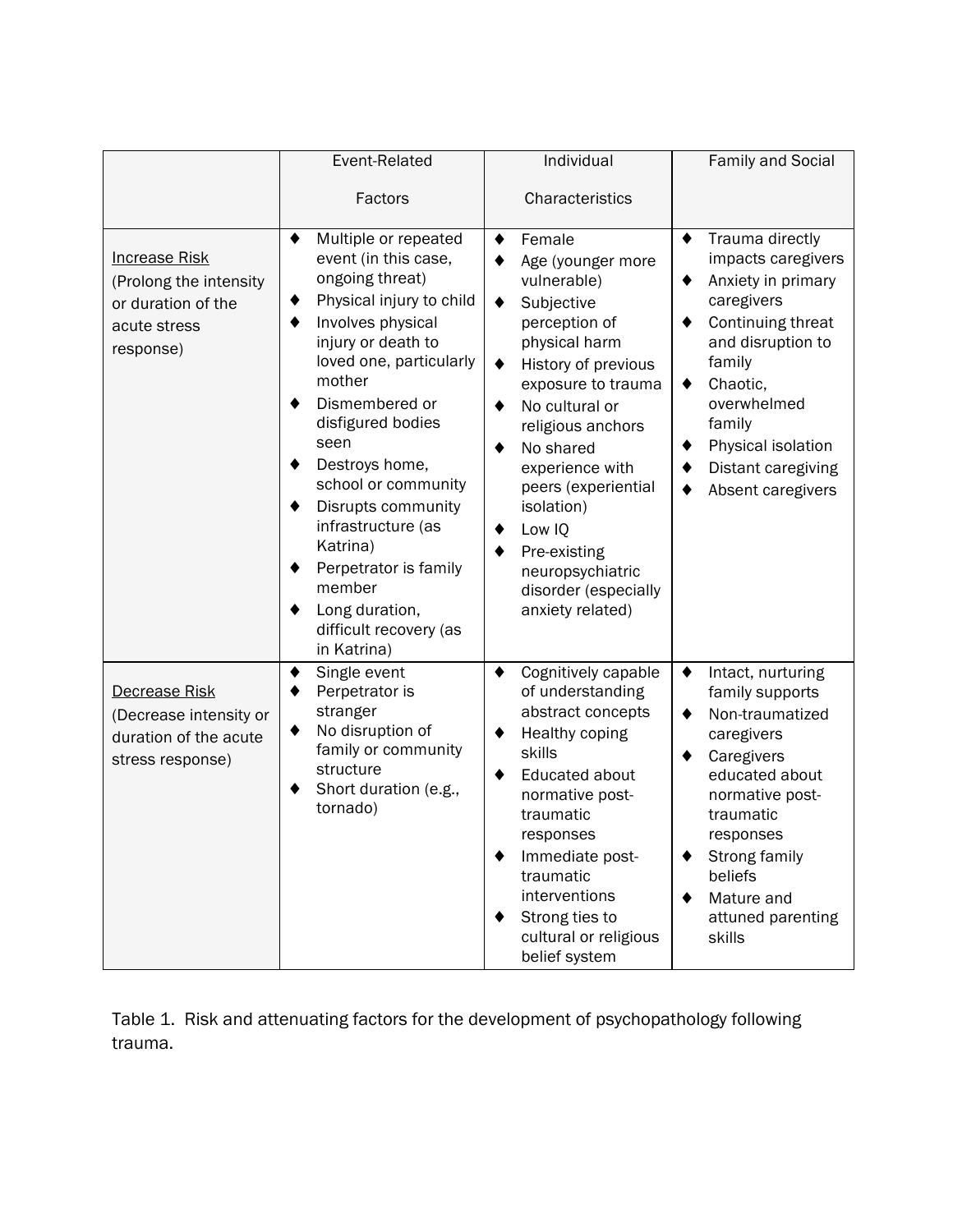|                                                                                                   | Event-Related                                                                                                                                                                                                                                                                                                                                                                                                             | Individual                                                                                                                                                                                                                                                                                                                                         | Family and Social                                                                                                                                                                                                                                            |
|---------------------------------------------------------------------------------------------------|---------------------------------------------------------------------------------------------------------------------------------------------------------------------------------------------------------------------------------------------------------------------------------------------------------------------------------------------------------------------------------------------------------------------------|----------------------------------------------------------------------------------------------------------------------------------------------------------------------------------------------------------------------------------------------------------------------------------------------------------------------------------------------------|--------------------------------------------------------------------------------------------------------------------------------------------------------------------------------------------------------------------------------------------------------------|
|                                                                                                   | Factors                                                                                                                                                                                                                                                                                                                                                                                                                   | Characteristics                                                                                                                                                                                                                                                                                                                                    |                                                                                                                                                                                                                                                              |
| <b>Increase Risk</b><br>(Prolong the intensity<br>or duration of the<br>acute stress<br>response) | Multiple or repeated<br>event (in this case,<br>ongoing threat)<br>Physical injury to child<br>Involves physical<br>injury or death to<br>loved one, particularly<br>mother<br>Dismembered or<br>disfigured bodies<br>seen<br>Destroys home,<br>school or community<br>Disrupts community<br>infrastructure (as<br>Katrina)<br>Perpetrator is family<br>member<br>Long duration,<br>difficult recovery (as<br>in Katrina) | Female<br>Age (younger more<br>vulnerable)<br>Subjective<br>perception of<br>physical harm<br>History of previous<br>٠<br>exposure to trauma<br>No cultural or<br>religious anchors<br>No shared<br>experience with<br>peers (experiential<br>isolation)<br>Low IQ<br>Pre-existing<br>neuropsychiatric<br>disorder (especially<br>anxiety related) | Trauma directly<br>٠<br>impacts caregivers<br>Anxiety in primary<br>٠<br>caregivers<br>Continuing threat<br>٠<br>and disruption to<br>family<br>Chaotic,<br>٠<br>overwhelmed<br>family<br>Physical isolation<br>Distant caregiving<br>Absent caregivers<br>٠ |
| Decrease Risk<br>(Decrease intensity or<br>duration of the acute<br>stress response)              | Single event<br>Perpetrator is<br>stranger<br>No disruption of<br>family or community<br>structure<br>Short duration (e.g.,<br>tornado)                                                                                                                                                                                                                                                                                   | Cognitively capable<br>٠<br>of understanding<br>abstract concepts<br>Healthy coping<br>skills<br>Educated about<br>normative post-<br>traumatic<br>responses<br>Immediate post-<br>traumatic<br>interventions<br>Strong ties to<br>cultural or religious<br>belief system                                                                          | Intact, nurturing<br>٠<br>family supports<br>Non-traumatized<br>٠<br>caregivers<br>Caregivers<br>educated about<br>normative post-<br>traumatic<br>responses<br>Strong family<br>beliefs<br>Mature and<br>attuned parenting<br>skills                        |

Table 1. Risk and attenuating factors for the development of psychopathology following trauma.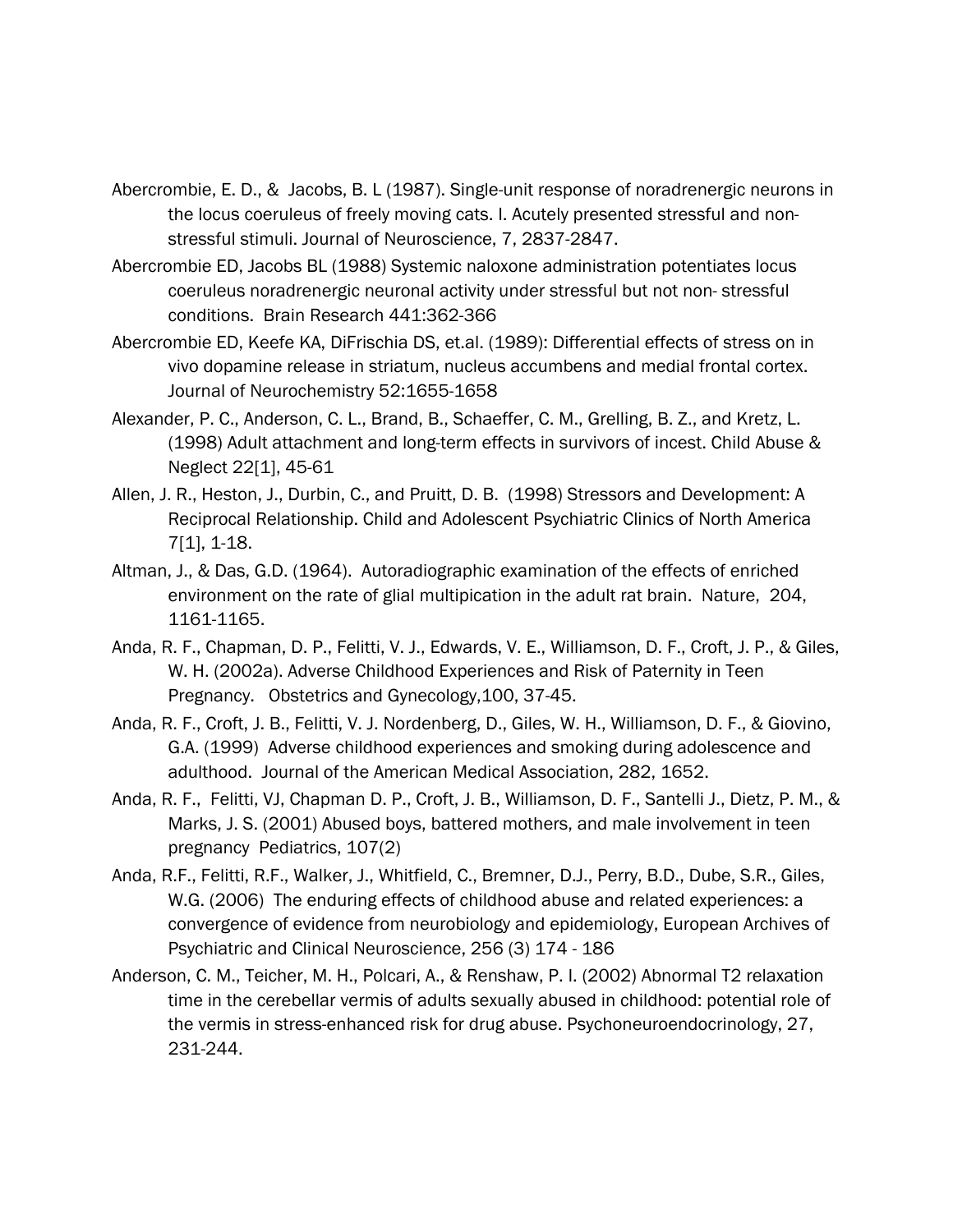- Abercrombie, E. D., & Jacobs, B. L (1987). Single-unit response of noradrenergic neurons in the locus coeruleus of freely moving cats. I. Acutely presented stressful and nonstressful stimuli. Journal of Neuroscience, 7, 2837-2847.
- Abercrombie ED, Jacobs BL (1988) Systemic naloxone administration potentiates locus coeruleus noradrenergic neuronal activity under stressful but not non- stressful conditions. Brain Research 441:362-366
- Abercrombie ED, Keefe KA, DiFrischia DS, et.al. (1989): Differential effects of stress on in vivo dopamine release in striatum, nucleus accumbens and medial frontal cortex. Journal of Neurochemistry 52:1655-1658
- Alexander, P. C., Anderson, C. L., Brand, B., Schaeffer, C. M., Grelling, B. Z., and Kretz, L. (1998) Adult attachment and long-term effects in survivors of incest. Child Abuse & Neglect 22[1], 45-61
- Allen, J. R., Heston, J., Durbin, C., and Pruitt, D. B. (1998) Stressors and Development: A Reciprocal Relationship. Child and Adolescent Psychiatric Clinics of North America 7[1], 1-18.
- Altman, J., & Das, G.D. (1964). Autoradiographic examination of the effects of enriched environment on the rate of glial multipication in the adult rat brain. Nature, 204, 1161-1165.
- Anda, R. F., Chapman, D. P., Felitti, V. J., Edwards, V. E., Williamson, D. F., Croft, J. P., & Giles, W. H. (2002a). Adverse Childhood Experiences and Risk of Paternity in Teen Pregnancy. Obstetrics and Gynecology,100, 37-45.
- Anda, R. F., Croft, J. B., Felitti, V. J. Nordenberg, D., Giles, W. H., Williamson, D. F., & Giovino, G.A. (1999) Adverse childhood experiences and smoking during adolescence and adulthood. Journal of the American Medical Association, 282, 1652.
- Anda, R. F., Felitti, VJ, Chapman D. P., Croft, J. B., Williamson, D. F., Santelli J., Dietz, P. M., & Marks, J. S. (2001) Abused boys, battered mothers, and male involvement in teen pregnancy Pediatrics, 107(2)
- Anda, R.F., Felitti, R.F., Walker, J., Whitfield, C., Bremner, D.J., Perry, B.D., Dube, S.R., Giles, W.G. (2006) The enduring effects of childhood abuse and related experiences: a convergence of evidence from neurobiology and epidemiology, European Archives of Psychiatric and Clinical Neuroscience, 256 (3) 174 - 186
- Anderson, C. M., Teicher, M. H., Polcari, A., & Renshaw, P. I. (2002) Abnormal T2 relaxation time in the cerebellar vermis of adults sexually abused in childhood: potential role of the vermis in stress-enhanced risk for drug abuse. Psychoneuroendocrinology, 27, 231-244.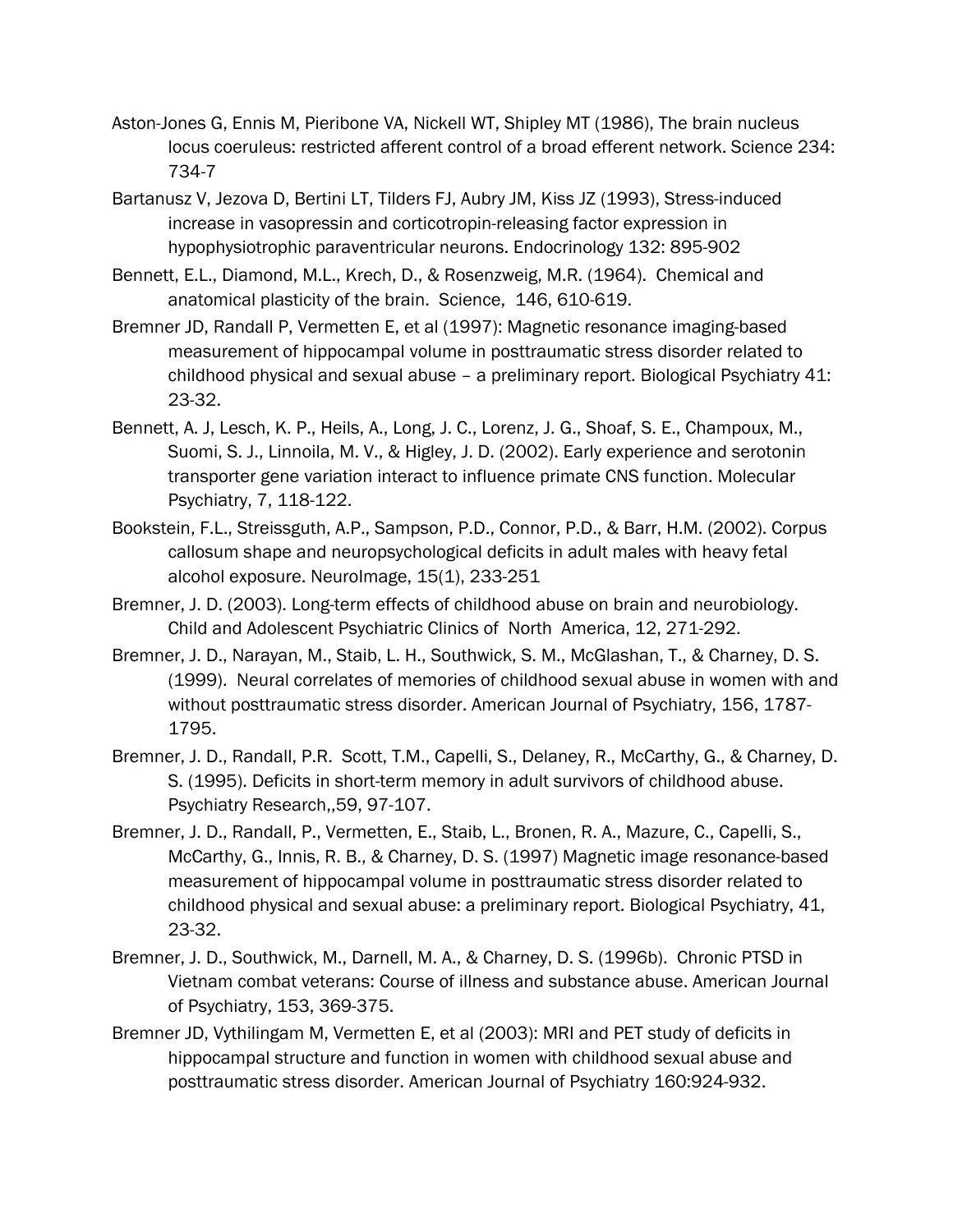- Aston-Jones G, Ennis M, Pieribone VA, Nickell WT, Shipley MT (1986), The brain nucleus locus coeruleus: restricted afferent control of a broad efferent network. Science 234: 734-7
- Bartanusz V, Jezova D, Bertini LT, Tilders FJ, Aubry JM, Kiss JZ (1993), Stress-induced increase in vasopressin and corticotropin-releasing factor expression in hypophysiotrophic paraventricular neurons. Endocrinology 132: 895-902
- Bennett, E.L., Diamond, M.L., Krech, D., & Rosenzweig, M.R. (1964). Chemical and anatomical plasticity of the brain. Science, 146, 610-619.
- Bremner JD, Randall P, Vermetten E, et al (1997): Magnetic resonance imaging-based measurement of hippocampal volume in posttraumatic stress disorder related to childhood physical and sexual abuse – a preliminary report. Biological Psychiatry 41: 23-32.
- Bennett, A. J, Lesch, K. P., Heils, A., Long, J. C., Lorenz, J. G., Shoaf, S. E., Champoux, M., Suomi, S. J., Linnoila, M. V., & Higley, J. D. (2002). Early experience and serotonin transporter gene variation interact to influence primate CNS function. Molecular Psychiatry, 7, 118-122.
- Bookstein, F.L., Streissguth, A.P., Sampson, P.D., Connor, P.D., & Barr, H.M. (2002). Corpus callosum shape and neuropsychological deficits in adult males with heavy fetal alcohol exposure. NeuroImage, 15(1), 233-251
- Bremner, J. D. (2003). Long-term effects of childhood abuse on brain and neurobiology. Child and Adolescent Psychiatric Clinics of North America, 12, 271-292.
- Bremner, J. D., Narayan, M., Staib, L. H., Southwick, S. M., McGlashan, T., & Charney, D. S. (1999). Neural correlates of memories of childhood sexual abuse in women with and without posttraumatic stress disorder. American Journal of Psychiatry, 156, 1787- 1795.
- Bremner, J. D., Randall, P.R. Scott, T.M., Capelli, S., Delaney, R., McCarthy, G., & Charney, D. S. (1995). Deficits in short-term memory in adult survivors of childhood abuse. Psychiatry Research,,59, 97-107.
- Bremner, J. D., Randall, P., Vermetten, E., Staib, L., Bronen, R. A., Mazure, C., Capelli, S., McCarthy, G., Innis, R. B., & Charney, D. S. (1997) Magnetic image resonance-based measurement of hippocampal volume in posttraumatic stress disorder related to childhood physical and sexual abuse: a preliminary report. Biological Psychiatry, 41, 23-32.
- Bremner, J. D., Southwick, M., Darnell, M. A., & Charney, D. S. (1996b). Chronic PTSD in Vietnam combat veterans: Course of illness and substance abuse. American Journal of Psychiatry, 153, 369-375.
- Bremner JD, Vythilingam M, Vermetten E, et al (2003): MRI and PET study of deficits in hippocampal structure and function in women with childhood sexual abuse and posttraumatic stress disorder. American Journal of Psychiatry 160:924-932.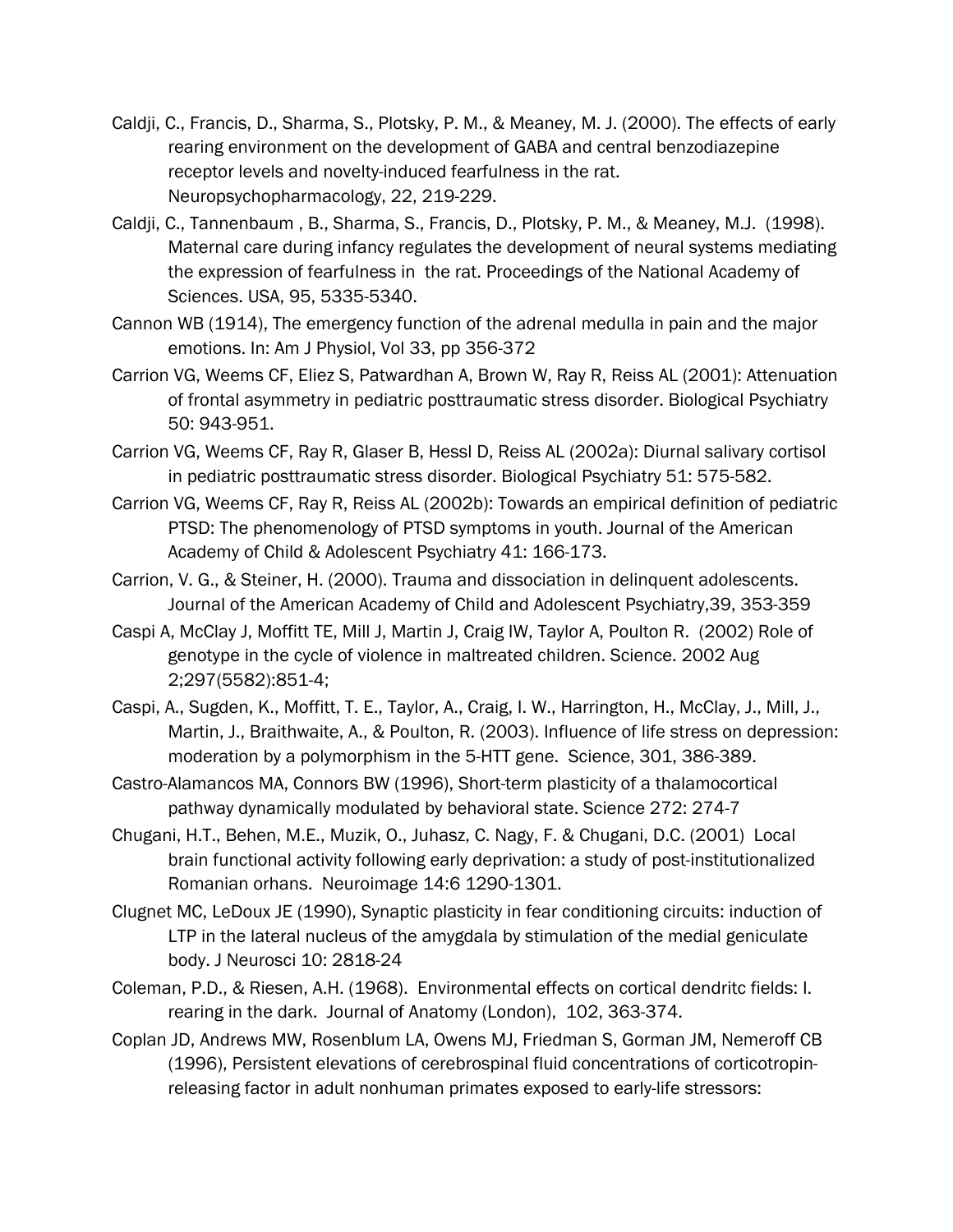- Caldji, C., Francis, D., Sharma, S., Plotsky, P. M., & Meaney, M. J. (2000). The effects of early rearing environment on the development of GABA and central benzodiazepine receptor levels and novelty-induced fearfulness in the rat. Neuropsychopharmacology, 22, 219-229.
- Caldji, C., Tannenbaum , B., Sharma, S., Francis, D., Plotsky, P. M., & Meaney, M.J. (1998). Maternal care during infancy regulates the development of neural systems mediating the expression of fearfulness in the rat. Proceedings of the National Academy of Sciences. USA, 95, 5335-5340.
- Cannon WB (1914), The emergency function of the adrenal medulla in pain and the major emotions. In: Am J Physiol, Vol 33, pp 356-372
- Carrion VG, Weems CF, Eliez S, Patwardhan A, Brown W, Ray R, Reiss AL (2001): Attenuation of frontal asymmetry in pediatric posttraumatic stress disorder. Biological Psychiatry 50: 943-951.
- Carrion VG, Weems CF, Ray R, Glaser B, Hessl D, Reiss AL (2002a): Diurnal salivary cortisol in pediatric posttraumatic stress disorder. Biological Psychiatry 51: 575-582.
- Carrion VG, Weems CF, Ray R, Reiss AL (2002b): Towards an empirical definition of pediatric PTSD: The phenomenology of PTSD symptoms in youth. Journal of the American Academy of Child & Adolescent Psychiatry 41: 166-173.
- Carrion, V. G., & Steiner, H. (2000). Trauma and dissociation in delinquent adolescents. Journal of the American Academy of Child and Adolescent Psychiatry,39, 353-359
- Caspi A, McClay J, Moffitt TE, Mill J, Martin J, Craig IW, Taylor A, Poulton R. (2002) Role of genotype in the cycle of violence in maltreated children. Science. 2002 Aug 2;297(5582):851-4;
- Caspi, A., Sugden, K., Moffitt, T. E., Taylor, A., Craig, I. W., Harrington, H., McClay, J., Mill, J., Martin, J., Braithwaite, A., & Poulton, R. (2003). Influence of life stress on depression: moderation by a polymorphism in the 5-HTT gene. Science, 301, 386-389.
- Castro-Alamancos MA, Connors BW (1996), Short-term plasticity of a thalamocortical pathway dynamically modulated by behavioral state. Science 272: 274-7
- Chugani, H.T., Behen, M.E., Muzik, O., Juhasz, C. Nagy, F. & Chugani, D.C. (2001) Local brain functional activity following early deprivation: a study of post-institutionalized Romanian orhans. Neuroimage 14:6 1290-1301.
- Clugnet MC, LeDoux JE (1990), Synaptic plasticity in fear conditioning circuits: induction of LTP in the lateral nucleus of the amygdala by stimulation of the medial geniculate body. J Neurosci 10: 2818-24
- Coleman, P.D., & Riesen, A.H. (1968). Environmental effects on cortical dendritc fields: I. rearing in the dark. Journal of Anatomy (London), 102, 363-374.
- Coplan JD, Andrews MW, Rosenblum LA, Owens MJ, Friedman S, Gorman JM, Nemeroff CB (1996), Persistent elevations of cerebrospinal fluid concentrations of corticotropinreleasing factor in adult nonhuman primates exposed to early-life stressors: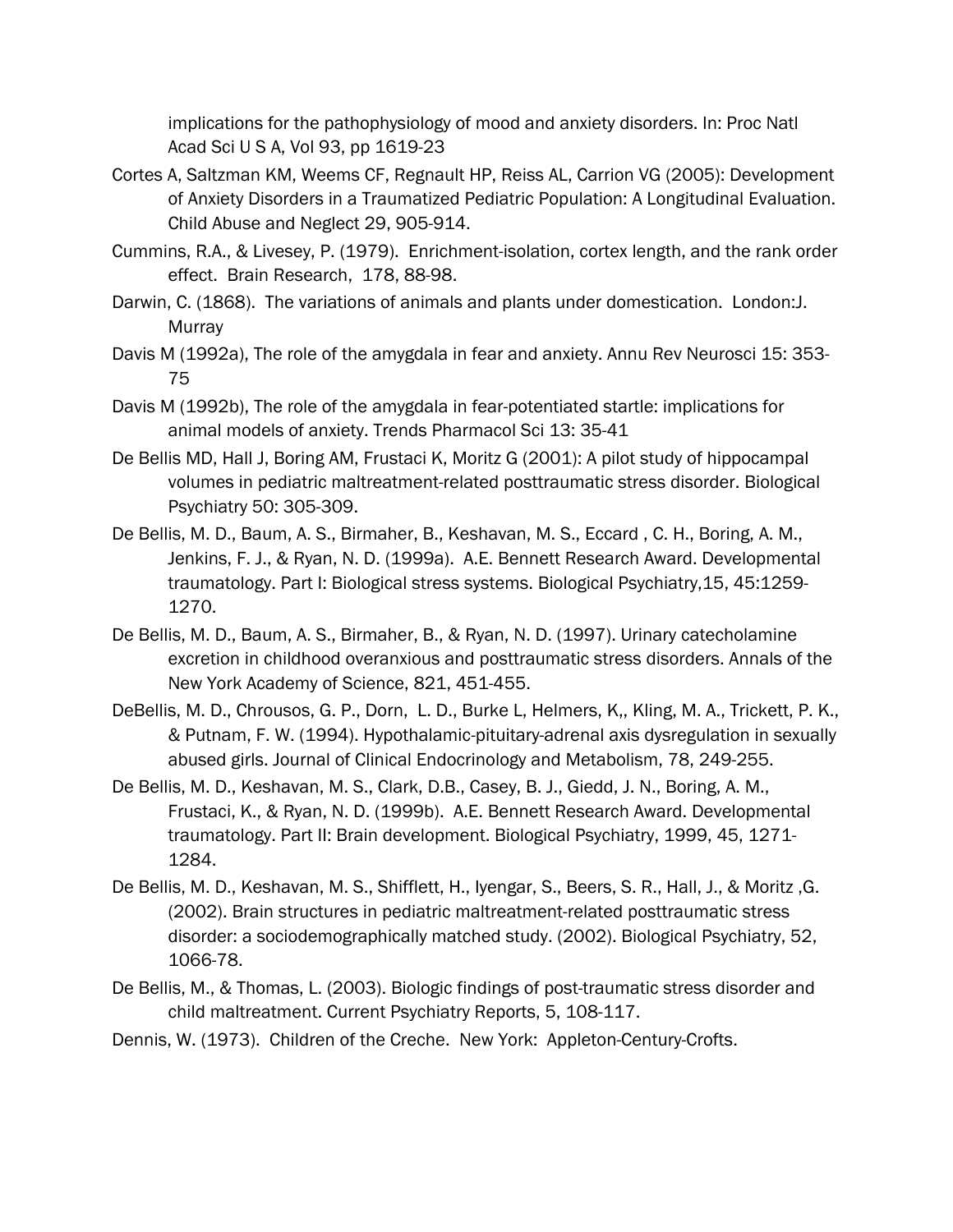implications for the pathophysiology of mood and anxiety disorders. In: Proc Natl Acad Sci U S A, Vol 93, pp 1619-23

- Cortes A, Saltzman KM, Weems CF, Regnault HP, Reiss AL, Carrion VG (2005): Development of Anxiety Disorders in a Traumatized Pediatric Population: A Longitudinal Evaluation. Child Abuse and Neglect 29, 905-914.
- Cummins, R.A., & Livesey, P. (1979). Enrichment-isolation, cortex length, and the rank order effect. Brain Research, 178, 88-98.
- Darwin, C. (1868). The variations of animals and plants under domestication. London:J. Murray
- Davis M (1992a), The role of the amygdala in fear and anxiety. Annu Rev Neurosci 15: 353- 75
- Davis M (1992b), The role of the amygdala in fear-potentiated startle: implications for animal models of anxiety. Trends Pharmacol Sci 13: 35-41
- De Bellis MD, Hall J, Boring AM, Frustaci K, Moritz G (2001): A pilot study of hippocampal volumes in pediatric maltreatment-related posttraumatic stress disorder. Biological Psychiatry 50: 305-309.
- De Bellis, M. D., Baum, A. S., Birmaher, B., Keshavan, M. S., Eccard , C. H., Boring, A. M., Jenkins, F. J., & Ryan, N. D. (1999a). A.E. Bennett Research Award. Developmental traumatology. Part I: Biological stress systems. Biological Psychiatry,15, 45:1259- 1270.
- De Bellis, M. D., Baum, A. S., Birmaher, B., & Ryan, N. D. (1997). Urinary catecholamine excretion in childhood overanxious and posttraumatic stress disorders. Annals of the New York Academy of Science, 821, 451-455.
- DeBellis, M. D., Chrousos, G. P., Dorn, L. D., Burke L, Helmers, K,, Kling, M. A., Trickett, P. K., & Putnam, F. W. (1994). Hypothalamic-pituitary-adrenal axis dysregulation in sexually abused girls. Journal of Clinical Endocrinology and Metabolism, 78, 249-255.
- De Bellis, M. D., Keshavan, M. S., Clark, D.B., Casey, B. J., Giedd, J. N., Boring, A. M., Frustaci, K., & Ryan, N. D. (1999b). A.E. Bennett Research Award. Developmental traumatology. Part II: Brain development. Biological Psychiatry, 1999, 45, 1271- 1284.
- De Bellis, M. D., Keshavan, M. S., Shifflett, H., Iyengar, S., Beers, S. R., Hall, J., & Moritz ,G. (2002). Brain structures in pediatric maltreatment-related posttraumatic stress disorder: a sociodemographically matched study. (2002). Biological Psychiatry, 52, 1066-78.
- De Bellis, M., & Thomas, L. (2003). Biologic findings of post-traumatic stress disorder and child maltreatment. Current Psychiatry Reports, 5, 108-117.
- Dennis, W. (1973). Children of the Creche. New York: Appleton-Century-Crofts.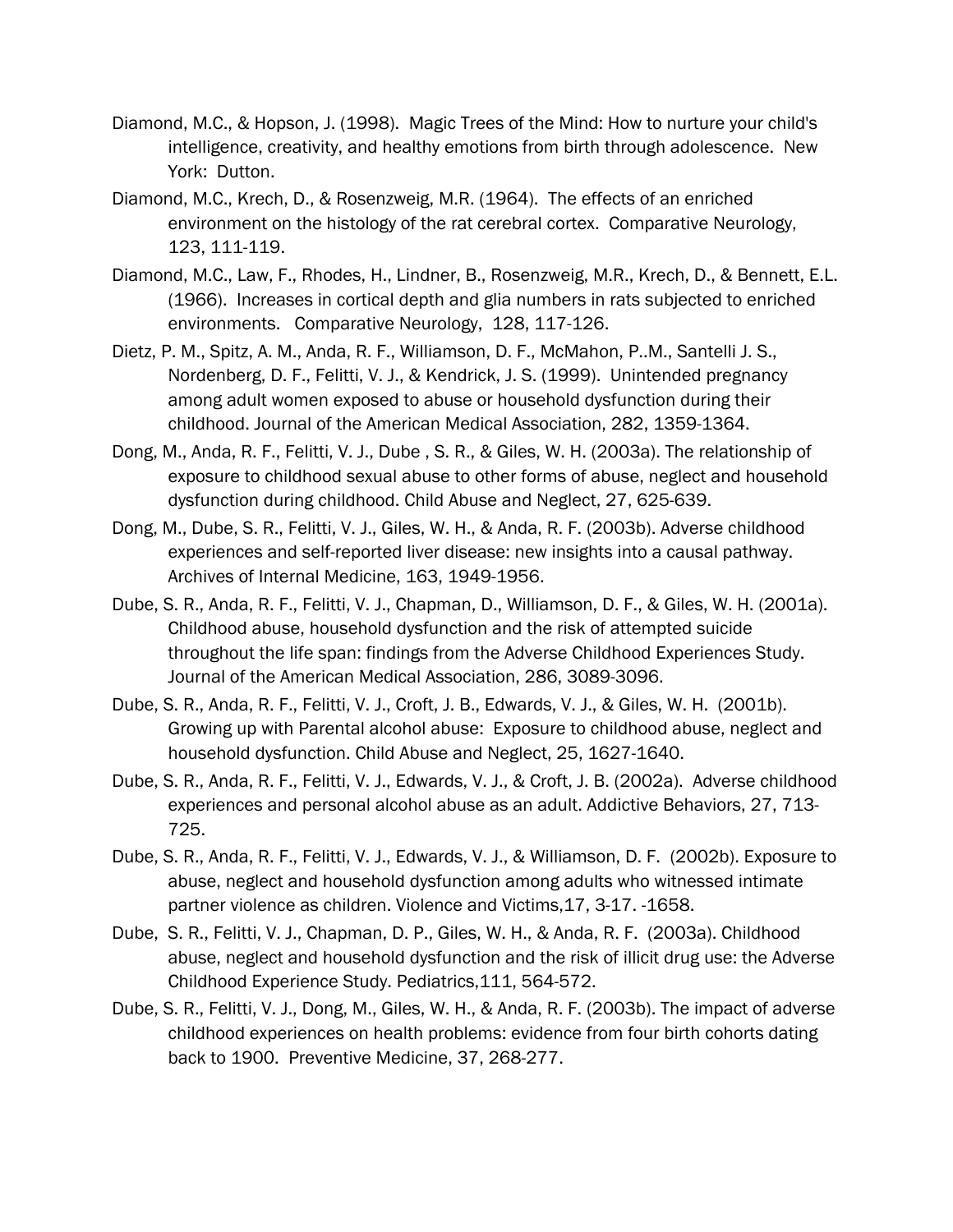- Diamond, M.C., & Hopson, J. (1998). Magic Trees of the Mind: How to nurture your child's intelligence, creativity, and healthy emotions from birth through adolescence. New York: Dutton.
- Diamond, M.C., Krech, D., & Rosenzweig, M.R. (1964). The effects of an enriched environment on the histology of the rat cerebral cortex. Comparative Neurology, 123, 111-119.
- Diamond, M.C., Law, F., Rhodes, H., Lindner, B., Rosenzweig, M.R., Krech, D., & Bennett, E.L. (1966). Increases in cortical depth and glia numbers in rats subjected to enriched environments. Comparative Neurology, 128, 117-126.
- Dietz, P. M., Spitz, A. M., Anda, R. F., Williamson, D. F., McMahon, P..M., Santelli J. S., Nordenberg, D. F., Felitti, V. J., & Kendrick, J. S. (1999). Unintended pregnancy among adult women exposed to abuse or household dysfunction during their childhood. Journal of the American Medical Association, 282, 1359-1364.
- Dong, M., Anda, R. F., Felitti, V. J., Dube , S. R., & Giles, W. H. (2003a). The relationship of exposure to childhood sexual abuse to other forms of abuse, neglect and household dysfunction during childhood. Child Abuse and Neglect, 27, 625-639.
- Dong, M., Dube, S. R., Felitti, V. J., Giles, W. H., & Anda, R. F. (2003b). Adverse childhood experiences and self-reported liver disease: new insights into a causal pathway. Archives of Internal Medicine, 163, 1949-1956.
- Dube, S. R., Anda, R. F., Felitti, V. J., Chapman, D., Williamson, D. F., & Giles, W. H. (2001a). Childhood abuse, household dysfunction and the risk of attempted suicide throughout the life span: findings from the Adverse Childhood Experiences Study. Journal of the American Medical Association, 286, 3089-3096.
- Dube, S. R., Anda, R. F., Felitti, V. J., Croft, J. B., Edwards, V. J., & Giles, W. H. (2001b). Growing up with Parental alcohol abuse: Exposure to childhood abuse, neglect and household dysfunction. Child Abuse and Neglect, 25, 1627-1640.
- Dube, S. R., Anda, R. F., Felitti, V. J., Edwards, V. J., & Croft, J. B. (2002a). Adverse childhood experiences and personal alcohol abuse as an adult. Addictive Behaviors, 27, 713- 725.
- Dube, S. R., Anda, R. F., Felitti, V. J., Edwards, V. J., & Williamson, D. F. (2002b). Exposure to abuse, neglect and household dysfunction among adults who witnessed intimate partner violence as children. Violence and Victims,17, 3-17. -1658.
- Dube, S. R., Felitti, V. J., Chapman, D. P., Giles, W. H., & Anda, R. F. (2003a). Childhood abuse, neglect and household dysfunction and the risk of illicit drug use: the Adverse Childhood Experience Study. Pediatrics,111, 564-572.
- Dube, S. R., Felitti, V. J., Dong, M., Giles, W. H., & Anda, R. F. (2003b). The impact of adverse childhood experiences on health problems: evidence from four birth cohorts dating back to 1900. Preventive Medicine, 37, 268-277.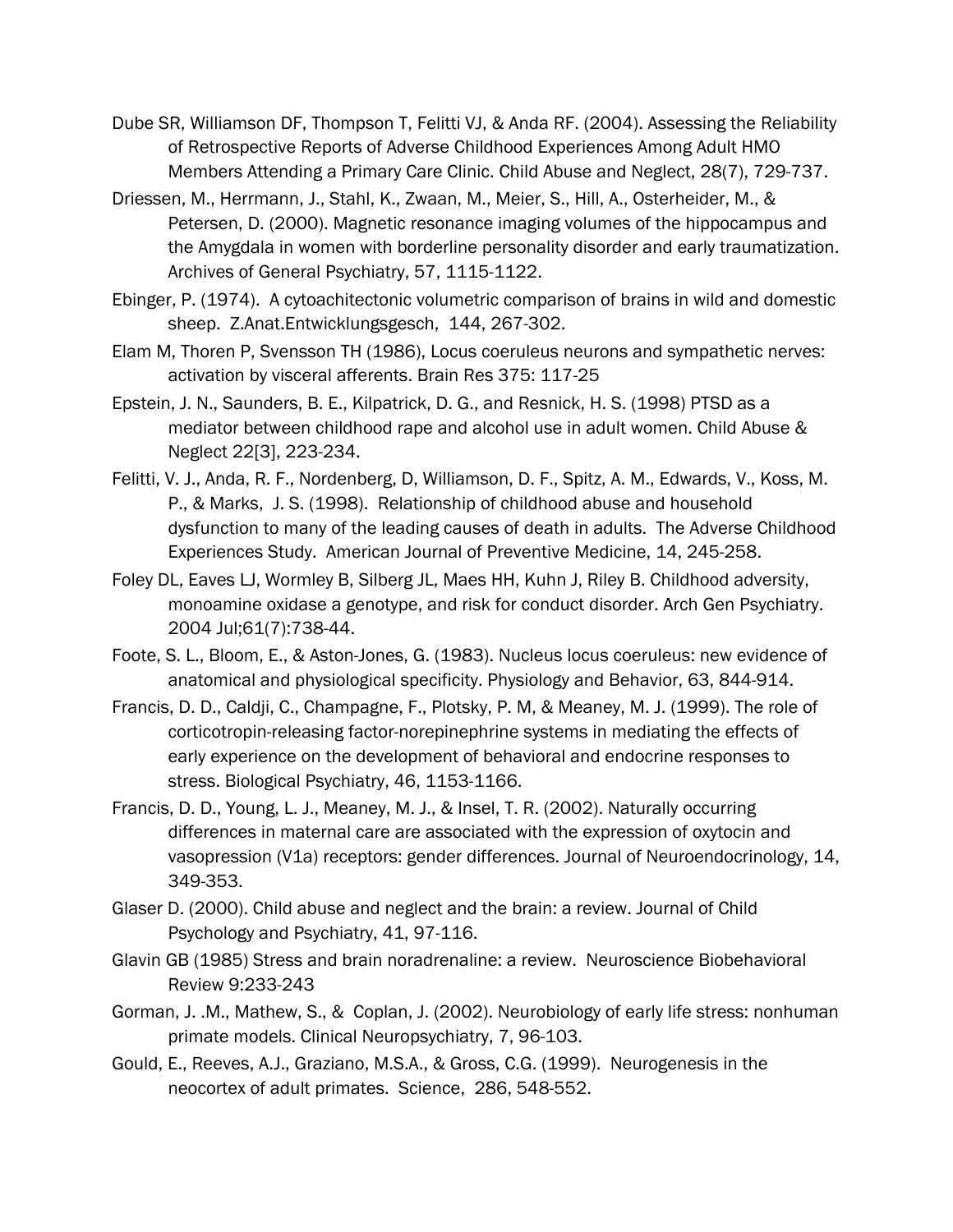- Dube SR, Williamson DF, Thompson T, Felitti VJ, & Anda RF. (2004). Assessing the Reliability of Retrospective Reports of Adverse Childhood Experiences Among Adult HMO Members Attending a Primary Care Clinic. Child Abuse and Neglect, 28(7), 729-737.
- Driessen, M., Herrmann, J., Stahl, K., Zwaan, M., Meier, S., Hill, A., Osterheider, M., & Petersen, D. (2000). Magnetic resonance imaging volumes of the hippocampus and the Amygdala in women with borderline personality disorder and early traumatization. Archives of General Psychiatry, 57, 1115-1122.
- Ebinger, P. (1974). A cytoachitectonic volumetric comparison of brains in wild and domestic sheep. Z.Anat.Entwicklungsgesch, 144, 267-302.
- Elam M, Thoren P, Svensson TH (1986), Locus coeruleus neurons and sympathetic nerves: activation by visceral afferents. Brain Res 375: 117-25
- Epstein, J. N., Saunders, B. E., Kilpatrick, D. G., and Resnick, H. S. (1998) PTSD as a mediator between childhood rape and alcohol use in adult women. Child Abuse & Neglect 22[3], 223-234.
- Felitti, V. J., Anda, R. F., Nordenberg, D, Williamson, D. F., Spitz, A. M., Edwards, V., Koss, M. P., & Marks, J. S. (1998). Relationship of childhood abuse and household dysfunction to many of the leading causes of death in adults. The Adverse Childhood Experiences Study. American Journal of Preventive Medicine, 14, 245-258.
- Foley DL, Eaves LJ, Wormley B, Silberg JL, Maes HH, Kuhn J, Riley B. Childhood adversity, monoamine oxidase a genotype, and risk for conduct disorder. Arch Gen Psychiatry. 2004 Jul;61(7):738-44.
- Foote, S. L., Bloom, E., & Aston-Jones, G. (1983). Nucleus locus coeruleus: new evidence of anatomical and physiological specificity. Physiology and Behavior, 63, 844-914.
- Francis, D. D., Caldji, C., Champagne, F., Plotsky, P. M, & Meaney, M. J. (1999). The role of corticotropin-releasing factor-norepinephrine systems in mediating the effects of early experience on the development of behavioral and endocrine responses to stress. Biological Psychiatry, 46, 1153-1166.
- Francis, D. D., Young, L. J., Meaney, M. J., & Insel, T. R. (2002). Naturally occurring differences in maternal care are associated with the expression of oxytocin and vasopression (V1a) receptors: gender differences. Journal of Neuroendocrinology, 14, 349-353.
- Glaser D. (2000). Child abuse and neglect and the brain: a review. Journal of Child Psychology and Psychiatry, 41, 97-116.
- Glavin GB (1985) Stress and brain noradrenaline: a review. Neuroscience Biobehavioral Review 9:233-243
- Gorman, J. .M., Mathew, S., & Coplan, J. (2002). Neurobiology of early life stress: nonhuman primate models. Clinical Neuropsychiatry, 7, 96-103.
- Gould, E., Reeves, A.J., Graziano, M.S.A., & Gross, C.G. (1999). Neurogenesis in the neocortex of adult primates. Science, 286, 548-552.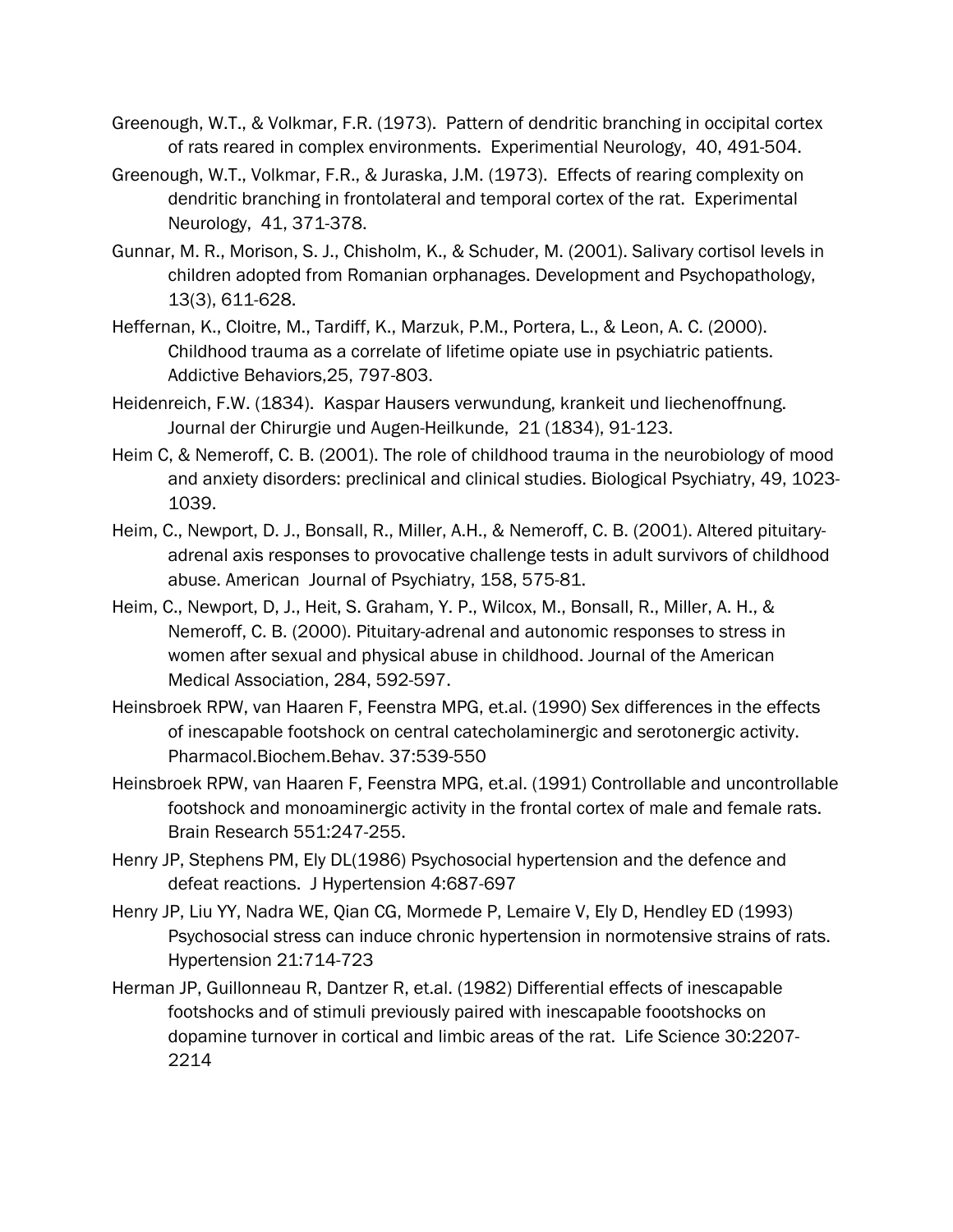- Greenough, W.T., & Volkmar, F.R. (1973). Pattern of dendritic branching in occipital cortex of rats reared in complex environments. Experimential Neurology, 40, 491-504.
- Greenough, W.T., Volkmar, F.R., & Juraska, J.M. (1973). Effects of rearing complexity on dendritic branching in frontolateral and temporal cortex of the rat. Experimental Neurology, 41, 371-378.
- Gunnar, M. R., Morison, S. J., Chisholm, K., & Schuder, M. (2001). Salivary cortisol levels in children adopted from Romanian orphanages. Development and Psychopathology, 13(3), 611-628.
- Heffernan, K., Cloitre, M., Tardiff, K., Marzuk, P.M., Portera, L., & Leon, A. C. (2000). Childhood trauma as a correlate of lifetime opiate use in psychiatric patients. Addictive Behaviors,25, 797-803.
- Heidenreich, F.W. (1834). Kaspar Hausers verwundung, krankeit und liechenoffnung. Journal der Chirurgie und Augen-Heilkunde, 21 (1834), 91-123.
- Heim C, & Nemeroff, C. B. (2001). The role of childhood trauma in the neurobiology of mood and anxiety disorders: preclinical and clinical studies. Biological Psychiatry, 49, 1023- 1039.
- Heim, C., Newport, D. J., Bonsall, R., Miller, A.H., & Nemeroff, C. B. (2001). Altered pituitaryadrenal axis responses to provocative challenge tests in adult survivors of childhood abuse. American Journal of Psychiatry, 158, 575-81.
- Heim, C., Newport, D, J., Heit, S. Graham, Y. P., Wilcox, M., Bonsall, R., Miller, A. H., & Nemeroff, C. B. (2000). Pituitary-adrenal and autonomic responses to stress in women after sexual and physical abuse in childhood. Journal of the American Medical Association, 284, 592-597.
- Heinsbroek RPW, van Haaren F, Feenstra MPG, et.al. (1990) Sex differences in the effects of inescapable footshock on central catecholaminergic and serotonergic activity. Pharmacol.Biochem.Behav. 37:539-550
- Heinsbroek RPW, van Haaren F, Feenstra MPG, et.al. (1991) Controllable and uncontrollable footshock and monoaminergic activity in the frontal cortex of male and female rats. Brain Research 551:247-255.
- Henry JP, Stephens PM, Ely DL(1986) Psychosocial hypertension and the defence and defeat reactions. J Hypertension 4:687-697
- Henry JP, Liu YY, Nadra WE, Qian CG, Mormede P, Lemaire V, Ely D, Hendley ED (1993) Psychosocial stress can induce chronic hypertension in normotensive strains of rats. Hypertension 21:714-723
- Herman JP, Guillonneau R, Dantzer R, et.al. (1982) Differential effects of inescapable footshocks and of stimuli previously paired with inescapable foootshocks on dopamine turnover in cortical and limbic areas of the rat. Life Science 30:2207- 2214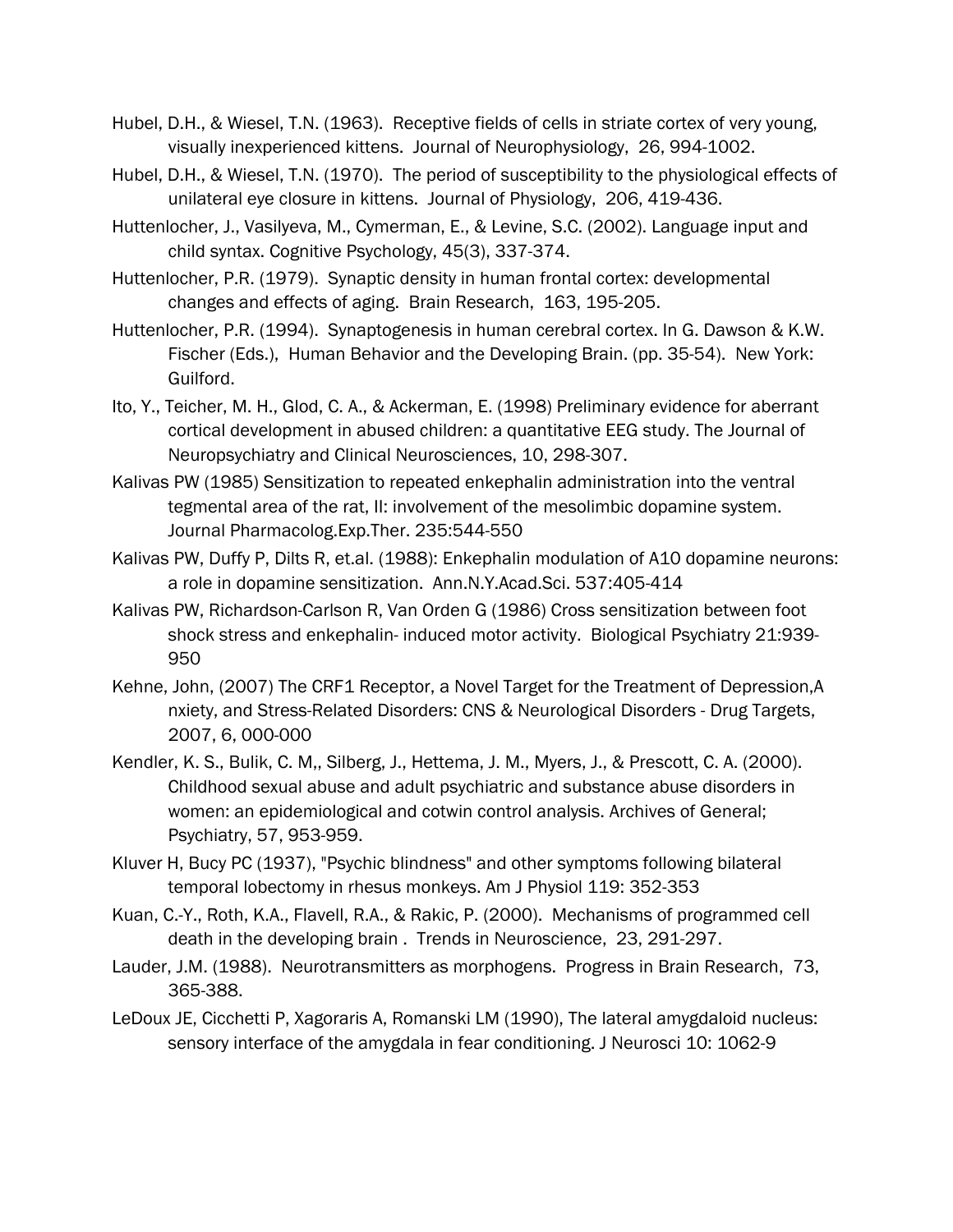- Hubel, D.H., & Wiesel, T.N. (1963). Receptive fields of cells in striate cortex of very young, visually inexperienced kittens. Journal of Neurophysiology, 26, 994-1002.
- Hubel, D.H., & Wiesel, T.N. (1970). The period of susceptibility to the physiological effects of unilateral eye closure in kittens. Journal of Physiology, 206, 419-436.
- Huttenlocher, J., Vasilyeva, M., Cymerman, E., & Levine, S.C. (2002). Language input and child syntax. Cognitive Psychology, 45(3), 337-374.
- Huttenlocher, P.R. (1979). Synaptic density in human frontal cortex: developmental changes and effects of aging. Brain Research, 163, 195-205.
- Huttenlocher, P.R. (1994). Synaptogenesis in human cerebral cortex. In G. Dawson & K.W. Fischer (Eds.), Human Behavior and the Developing Brain. (pp. 35-54). New York: Guilford.
- Ito, Y., Teicher, M. H., Glod, C. A., & Ackerman, E. (1998) Preliminary evidence for aberrant cortical development in abused children: a quantitative EEG study. The Journal of Neuropsychiatry and Clinical Neurosciences, 10, 298-307.
- Kalivas PW (1985) Sensitization to repeated enkephalin administration into the ventral tegmental area of the rat, II: involvement of the mesolimbic dopamine system. Journal Pharmacolog.Exp.Ther. 235:544-550
- Kalivas PW, Duffy P, Dilts R, et.al. (1988): Enkephalin modulation of A10 dopamine neurons: a role in dopamine sensitization. Ann.N.Y.Acad.Sci. 537:405-414
- Kalivas PW, Richardson-Carlson R, Van Orden G (1986) Cross sensitization between foot shock stress and enkephalin- induced motor activity. Biological Psychiatry 21:939- 950
- Kehne, John, (2007) The CRF1 Receptor, a Novel Target for the Treatment of Depression,A nxiety, and Stress-Related Disorders: CNS & Neurological Disorders - Drug Targets, 2007, 6, 000-000
- Kendler, K. S., Bulik, C. M,, Silberg, J., Hettema, J. M., Myers, J., & Prescott, C. A. (2000). Childhood sexual abuse and adult psychiatric and substance abuse disorders in women: an epidemiological and cotwin control analysis. Archives of General; Psychiatry, 57, 953-959.
- Kluver H, Bucy PC (1937), "Psychic blindness" and other symptoms following bilateral temporal lobectomy in rhesus monkeys. Am J Physiol 119: 352-353
- Kuan, C.-Y., Roth, K.A., Flavell, R.A., & Rakic, P. (2000). Mechanisms of programmed cell death in the developing brain . Trends in Neuroscience, 23, 291-297.
- Lauder, J.M. (1988). Neurotransmitters as morphogens. Progress in Brain Research, 73, 365-388.
- LeDoux JE, Cicchetti P, Xagoraris A, Romanski LM (1990), The lateral amygdaloid nucleus: sensory interface of the amygdala in fear conditioning. J Neurosci 10: 1062-9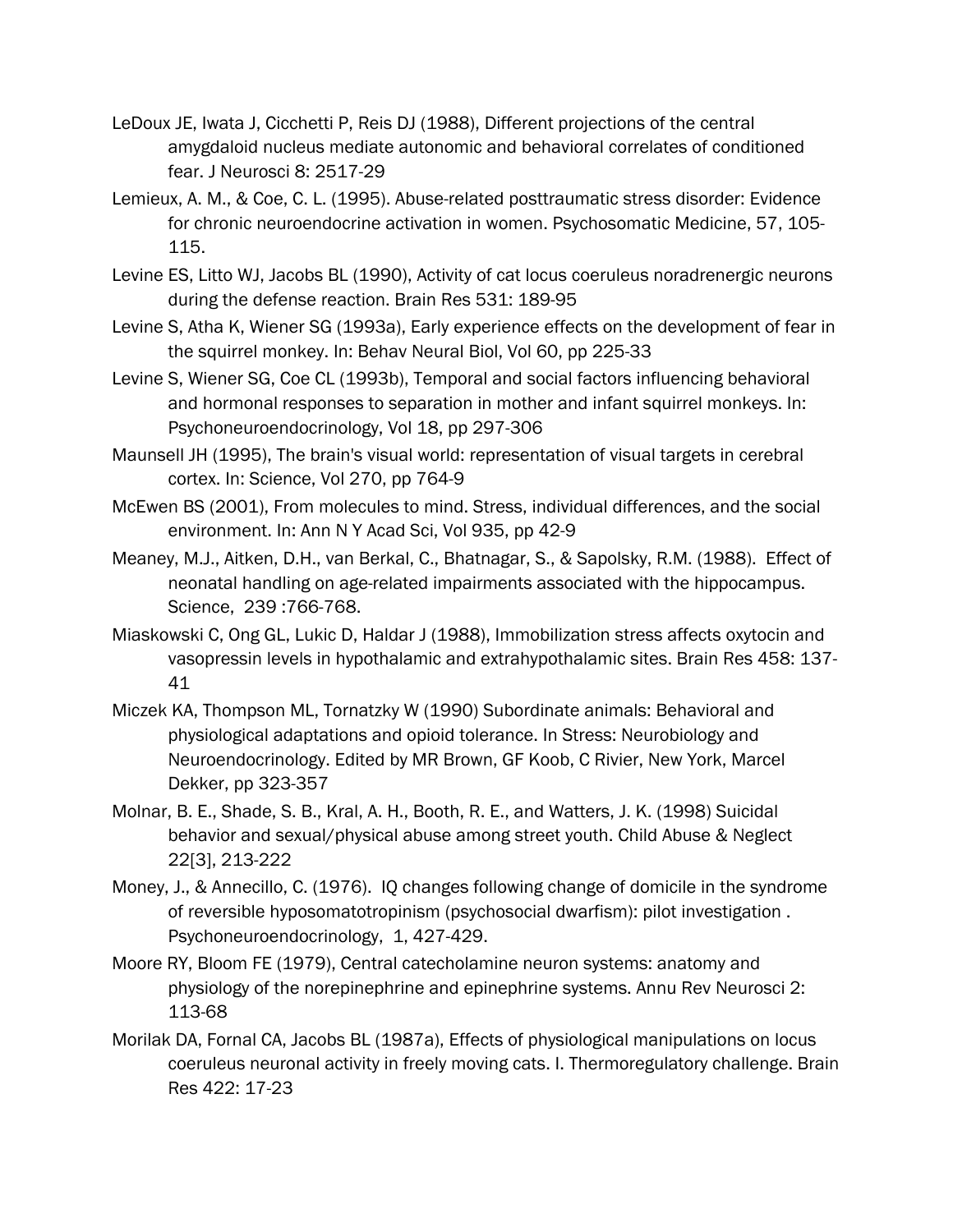- LeDoux JE, Iwata J, Cicchetti P, Reis DJ (1988), Different projections of the central amygdaloid nucleus mediate autonomic and behavioral correlates of conditioned fear. J Neurosci 8: 2517-29
- Lemieux, A. M., & Coe, C. L. (1995). Abuse-related posttraumatic stress disorder: Evidence for chronic neuroendocrine activation in women. Psychosomatic Medicine, 57, 105- 115.
- Levine ES, Litto WJ, Jacobs BL (1990), Activity of cat locus coeruleus noradrenergic neurons during the defense reaction. Brain Res 531: 189-95
- Levine S, Atha K, Wiener SG (1993a), Early experience effects on the development of fear in the squirrel monkey. In: Behav Neural Biol, Vol 60, pp 225-33
- Levine S, Wiener SG, Coe CL (1993b), Temporal and social factors influencing behavioral and hormonal responses to separation in mother and infant squirrel monkeys. In: Psychoneuroendocrinology, Vol 18, pp 297-306
- Maunsell JH (1995), The brain's visual world: representation of visual targets in cerebral cortex. In: Science, Vol 270, pp 764-9
- McEwen BS (2001), From molecules to mind. Stress, individual differences, and the social environment. In: Ann N Y Acad Sci, Vol 935, pp 42-9
- Meaney, M.J., Aitken, D.H., van Berkal, C., Bhatnagar, S., & Sapolsky, R.M. (1988). Effect of neonatal handling on age-related impairments associated with the hippocampus. Science, 239 :766-768.
- Miaskowski C, Ong GL, Lukic D, Haldar J (1988), Immobilization stress affects oxytocin and vasopressin levels in hypothalamic and extrahypothalamic sites. Brain Res 458: 137- 41
- Miczek KA, Thompson ML, Tornatzky W (1990) Subordinate animals: Behavioral and physiological adaptations and opioid tolerance. In Stress: Neurobiology and Neuroendocrinology. Edited by MR Brown, GF Koob, C Rivier, New York, Marcel Dekker, pp 323-357
- Molnar, B. E., Shade, S. B., Kral, A. H., Booth, R. E., and Watters, J. K. (1998) Suicidal behavior and sexual/physical abuse among street youth. Child Abuse & Neglect 22[3], 213-222
- Money, J., & Annecillo, C. (1976). IQ changes following change of domicile in the syndrome of reversible hyposomatotropinism (psychosocial dwarfism): pilot investigation . Psychoneuroendocrinology, 1, 427-429.
- Moore RY, Bloom FE (1979), Central catecholamine neuron systems: anatomy and physiology of the norepinephrine and epinephrine systems. Annu Rev Neurosci 2: 113-68
- Morilak DA, Fornal CA, Jacobs BL (1987a), Effects of physiological manipulations on locus coeruleus neuronal activity in freely moving cats. I. Thermoregulatory challenge. Brain Res 422: 17-23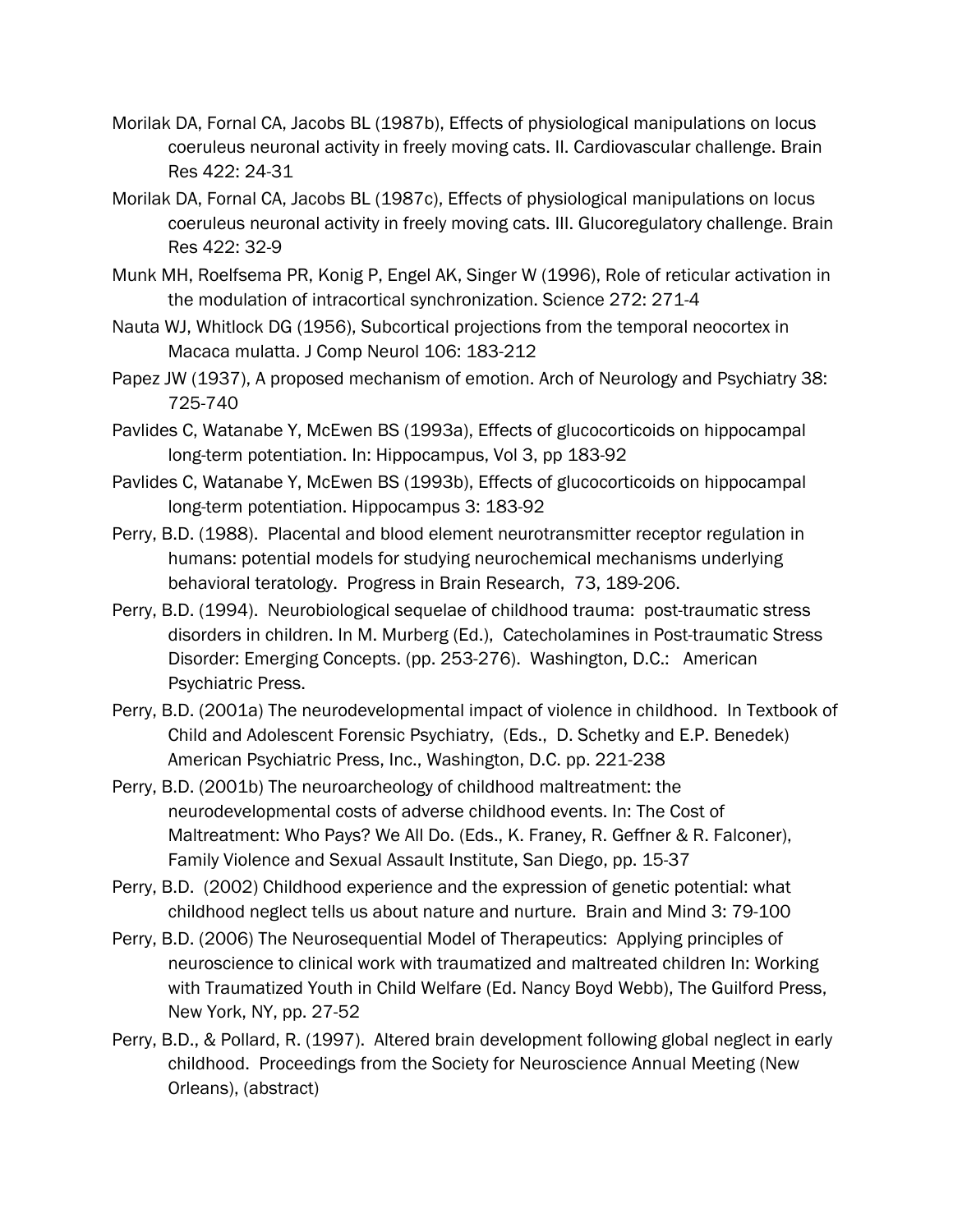- Morilak DA, Fornal CA, Jacobs BL (1987b), Effects of physiological manipulations on locus coeruleus neuronal activity in freely moving cats. II. Cardiovascular challenge. Brain Res 422: 24-31
- Morilak DA, Fornal CA, Jacobs BL (1987c), Effects of physiological manipulations on locus coeruleus neuronal activity in freely moving cats. III. Glucoregulatory challenge. Brain Res 422: 32-9
- Munk MH, Roelfsema PR, Konig P, Engel AK, Singer W (1996), Role of reticular activation in the modulation of intracortical synchronization. Science 272: 271-4
- Nauta WJ, Whitlock DG (1956), Subcortical projections from the temporal neocortex in Macaca mulatta. J Comp Neurol 106: 183-212
- Papez JW (1937), A proposed mechanism of emotion. Arch of Neurology and Psychiatry 38: 725-740
- Pavlides C, Watanabe Y, McEwen BS (1993a), Effects of glucocorticoids on hippocampal long-term potentiation. In: Hippocampus, Vol 3, pp 183-92
- Pavlides C, Watanabe Y, McEwen BS (1993b), Effects of glucocorticoids on hippocampal long-term potentiation. Hippocampus 3: 183-92
- Perry, B.D. (1988). Placental and blood element neurotransmitter receptor regulation in humans: potential models for studying neurochemical mechanisms underlying behavioral teratology. Progress in Brain Research, 73, 189-206.
- Perry, B.D. (1994). Neurobiological sequelae of childhood trauma: post-traumatic stress disorders in children. In M. Murberg (Ed.), Catecholamines in Post-traumatic Stress Disorder: Emerging Concepts. (pp. 253-276). Washington, D.C.: American Psychiatric Press.
- Perry, B.D. (2001a) The neurodevelopmental impact of violence in childhood. In Textbook of Child and Adolescent Forensic Psychiatry, (Eds., D. Schetky and E.P. Benedek) American Psychiatric Press, Inc., Washington, D.C. pp. 221-238
- Perry, B.D. (2001b) The neuroarcheology of childhood maltreatment: the neurodevelopmental costs of adverse childhood events. In: The Cost of Maltreatment: Who Pays? We All Do. (Eds., K. Franey, R. Geffner & R. Falconer), Family Violence and Sexual Assault Institute, San Diego, pp. 15-37
- Perry, B.D. (2002) Childhood experience and the expression of genetic potential: what childhood neglect tells us about nature and nurture. Brain and Mind 3: 79-100
- Perry, B.D. (2006) The Neurosequential Model of Therapeutics: Applying principles of neuroscience to clinical work with traumatized and maltreated children In: Working with Traumatized Youth in Child Welfare (Ed. Nancy Boyd Webb), The Guilford Press, New York, NY, pp. 27-52
- Perry, B.D., & Pollard, R. (1997). Altered brain development following global neglect in early childhood. Proceedings from the Society for Neuroscience Annual Meeting (New Orleans), (abstract)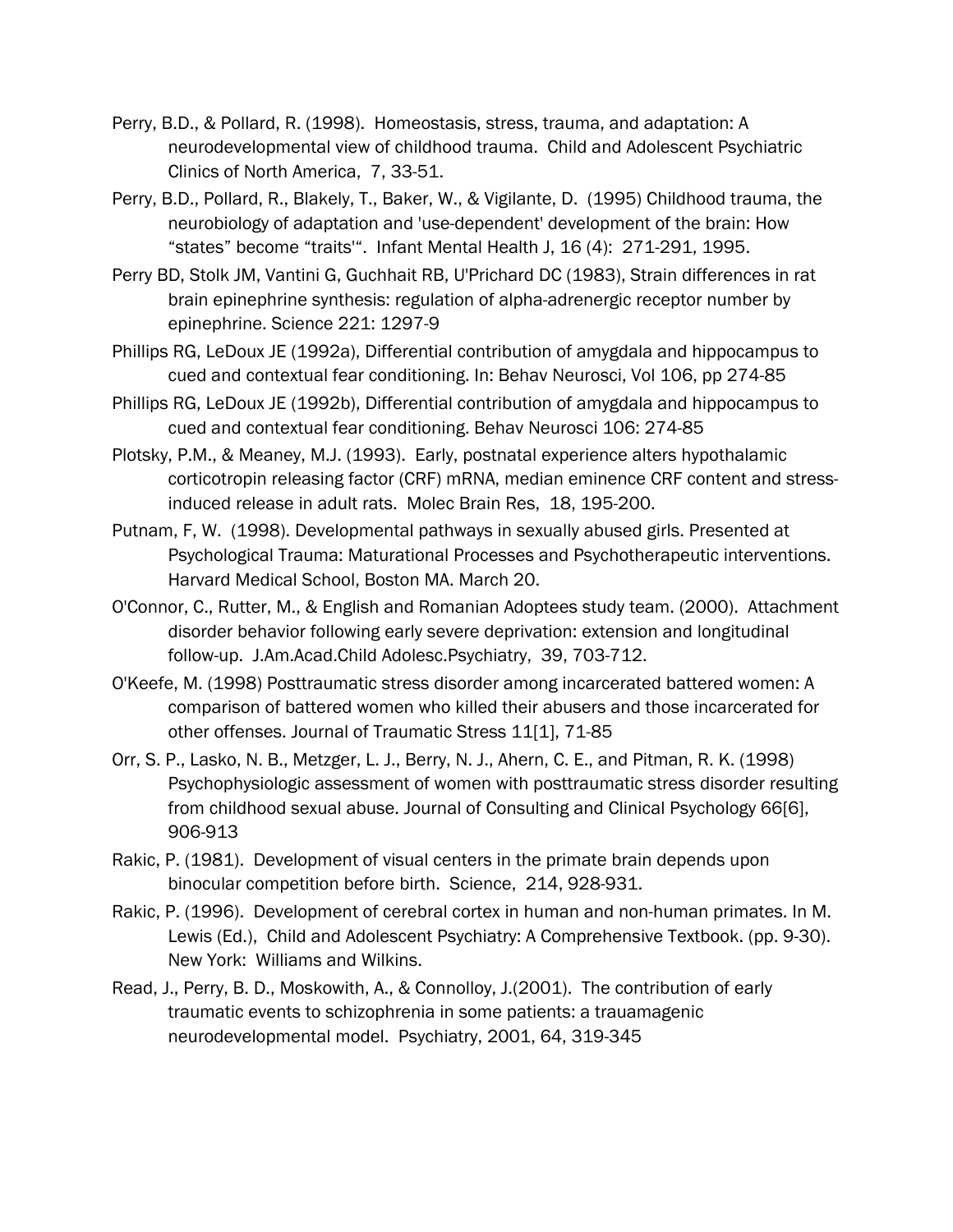- Perry, B.D., & Pollard, R. (1998). Homeostasis, stress, trauma, and adaptation: A neurodevelopmental view of childhood trauma. Child and Adolescent Psychiatric Clinics of North America, 7, 33-51.
- Perry, B.D., Pollard, R., Blakely, T., Baker, W., & Vigilante, D. (1995) Childhood trauma, the neurobiology of adaptation and 'use-dependent' development of the brain: How "states" become "traits'". Infant Mental Health J, 16 (4): 271-291, 1995.
- Perry BD, Stolk JM, Vantini G, Guchhait RB, U'Prichard DC (1983), Strain differences in rat brain epinephrine synthesis: regulation of alpha-adrenergic receptor number by epinephrine. Science 221: 1297-9
- Phillips RG, LeDoux JE (1992a), Differential contribution of amygdala and hippocampus to cued and contextual fear conditioning. In: Behav Neurosci, Vol 106, pp 274-85
- Phillips RG, LeDoux JE (1992b), Differential contribution of amygdala and hippocampus to cued and contextual fear conditioning. Behav Neurosci 106: 274-85
- Plotsky, P.M., & Meaney, M.J. (1993). Early, postnatal experience alters hypothalamic corticotropin releasing factor (CRF) mRNA, median eminence CRF content and stressinduced release in adult rats. Molec Brain Res, 18, 195-200.
- Putnam, F, W. (1998). Developmental pathways in sexually abused girls. Presented at Psychological Trauma: Maturational Processes and Psychotherapeutic interventions. Harvard Medical School, Boston MA. March 20.
- O'Connor, C., Rutter, M., & English and Romanian Adoptees study team. (2000). Attachment disorder behavior following early severe deprivation: extension and longitudinal follow-up. J.Am.Acad.Child Adolesc.Psychiatry, 39, 703-712.
- O'Keefe, M. (1998) Posttraumatic stress disorder among incarcerated battered women: A comparison of battered women who killed their abusers and those incarcerated for other offenses. Journal of Traumatic Stress 11[1], 71-85
- Orr, S. P., Lasko, N. B., Metzger, L. J., Berry, N. J., Ahern, C. E., and Pitman, R. K. (1998) Psychophysiologic assessment of women with posttraumatic stress disorder resulting from childhood sexual abuse. Journal of Consulting and Clinical Psychology 66[6], 906-913
- Rakic, P. (1981). Development of visual centers in the primate brain depends upon binocular competition before birth. Science, 214, 928-931.
- Rakic, P. (1996). Development of cerebral cortex in human and non-human primates. In M. Lewis (Ed.), Child and Adolescent Psychiatry: A Comprehensive Textbook. (pp. 9-30). New York: Williams and Wilkins.
- Read, J., Perry, B. D., Moskowith, A., & Connolloy, J.(2001). The contribution of early traumatic events to schizophrenia in some patients: a trauamagenic neurodevelopmental model. Psychiatry, 2001, 64, 319-345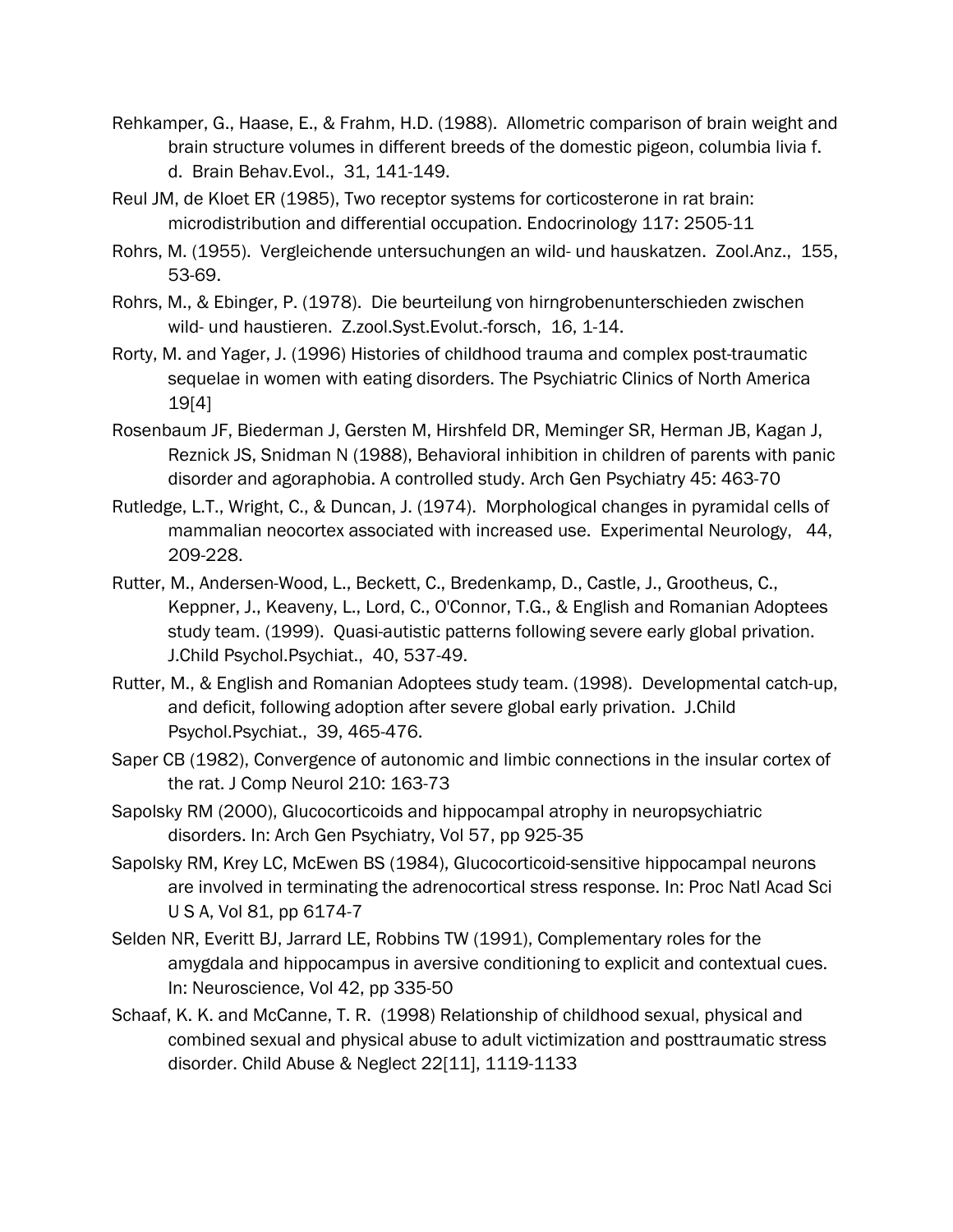- Rehkamper, G., Haase, E., & Frahm, H.D. (1988). Allometric comparison of brain weight and brain structure volumes in different breeds of the domestic pigeon, columbia livia f. d. Brain Behav.Evol., 31, 141-149.
- Reul JM, de Kloet ER (1985), Two receptor systems for corticosterone in rat brain: microdistribution and differential occupation. Endocrinology 117: 2505-11
- Rohrs, M. (1955). Vergleichende untersuchungen an wild- und hauskatzen. Zool.Anz., 155, 53-69.
- Rohrs, M., & Ebinger, P. (1978). Die beurteilung von hirngrobenunterschieden zwischen wild- und haustieren. Z.zool.Syst.Evolut.-forsch, 16, 1-14.
- Rorty, M. and Yager, J. (1996) Histories of childhood trauma and complex post-traumatic sequelae in women with eating disorders. The Psychiatric Clinics of North America 19[4]
- Rosenbaum JF, Biederman J, Gersten M, Hirshfeld DR, Meminger SR, Herman JB, Kagan J, Reznick JS, Snidman N (1988), Behavioral inhibition in children of parents with panic disorder and agoraphobia. A controlled study. Arch Gen Psychiatry 45: 463-70
- Rutledge, L.T., Wright, C., & Duncan, J. (1974). Morphological changes in pyramidal cells of mammalian neocortex associated with increased use. Experimental Neurology, 44, 209-228.
- Rutter, M., Andersen-Wood, L., Beckett, C., Bredenkamp, D., Castle, J., Grootheus, C., Keppner, J., Keaveny, L., Lord, C., O'Connor, T.G., & English and Romanian Adoptees study team. (1999). Quasi-autistic patterns following severe early global privation. J.Child Psychol.Psychiat., 40, 537-49.
- Rutter, M., & English and Romanian Adoptees study team. (1998). Developmental catch-up, and deficit, following adoption after severe global early privation. J.Child Psychol.Psychiat., 39, 465-476.
- Saper CB (1982), Convergence of autonomic and limbic connections in the insular cortex of the rat. J Comp Neurol 210: 163-73
- Sapolsky RM (2000), Glucocorticoids and hippocampal atrophy in neuropsychiatric disorders. In: Arch Gen Psychiatry, Vol 57, pp 925-35
- Sapolsky RM, Krey LC, McEwen BS (1984), Glucocorticoid-sensitive hippocampal neurons are involved in terminating the adrenocortical stress response. In: Proc Natl Acad Sci U S A, Vol 81, pp 6174-7
- Selden NR, Everitt BJ, Jarrard LE, Robbins TW (1991), Complementary roles for the amygdala and hippocampus in aversive conditioning to explicit and contextual cues. In: Neuroscience, Vol 42, pp 335-50
- Schaaf, K. K. and McCanne, T. R. (1998) Relationship of childhood sexual, physical and combined sexual and physical abuse to adult victimization and posttraumatic stress disorder. Child Abuse & Neglect 22[11], 1119-1133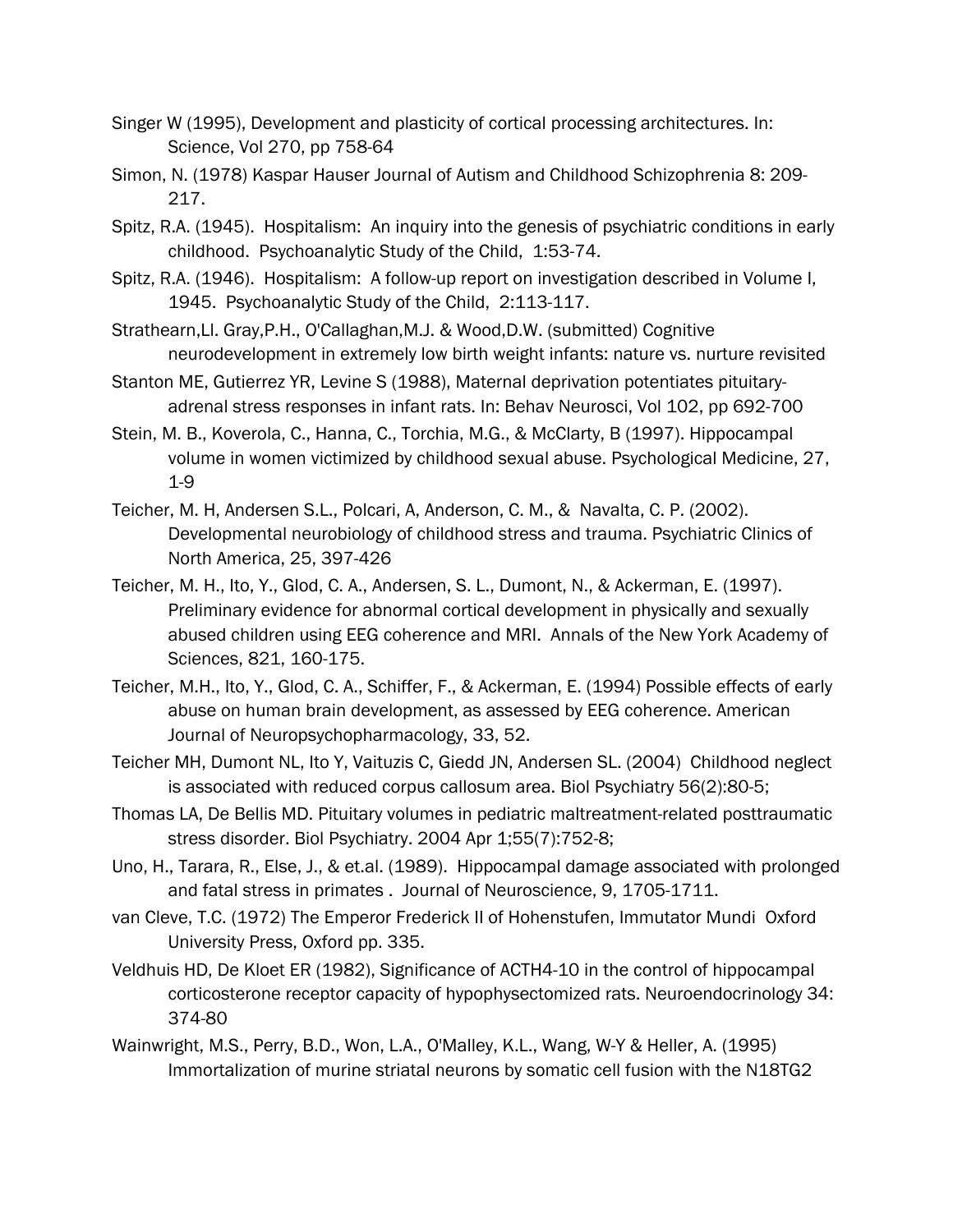- Singer W (1995), Development and plasticity of cortical processing architectures. In: Science, Vol 270, pp 758-64
- Simon, N. (1978) Kaspar Hauser Journal of Autism and Childhood Schizophrenia 8: 209- 217.
- Spitz, R.A. (1945). Hospitalism: An inquiry into the genesis of psychiatric conditions in early childhood. Psychoanalytic Study of the Child, 1:53-74.
- Spitz, R.A. (1946). Hospitalism: A follow-up report on investigation described in Volume I, 1945. Psychoanalytic Study of the Child, 2:113-117.
- Strathearn,Ll. Gray,P.H., O'Callaghan,M.J. & Wood,D.W. (submitted) Cognitive neurodevelopment in extremely low birth weight infants: nature vs. nurture revisited
- Stanton ME, Gutierrez YR, Levine S (1988), Maternal deprivation potentiates pituitaryadrenal stress responses in infant rats. In: Behav Neurosci, Vol 102, pp 692-700
- Stein, M. B., Koverola, C., Hanna, C., Torchia, M.G., & McClarty, B (1997). Hippocampal volume in women victimized by childhood sexual abuse. Psychological Medicine, 27, 1-9
- Teicher, M. H, Andersen S.L., Polcari, A, Anderson, C. M., & Navalta, C. P. (2002). Developmental neurobiology of childhood stress and trauma. Psychiatric Clinics of North America, 25, 397-426
- Teicher, M. H., Ito, Y., Glod, C. A., Andersen, S. L., Dumont, N., & Ackerman, E. (1997). Preliminary evidence for abnormal cortical development in physically and sexually abused children using EEG coherence and MRI. Annals of the New York Academy of Sciences, 821, 160-175.
- Teicher, M.H., Ito, Y., Glod, C. A., Schiffer, F., & Ackerman, E. (1994) Possible effects of early abuse on human brain development, as assessed by EEG coherence. American Journal of Neuropsychopharmacology, 33, 52.
- Teicher MH, Dumont NL, Ito Y, Vaituzis C, Giedd JN, Andersen SL. (2004) Childhood neglect is associated with reduced corpus callosum area. Biol Psychiatry 56(2):80-5;
- Thomas LA, De Bellis MD. Pituitary volumes in pediatric maltreatment-related posttraumatic stress disorder. Biol Psychiatry. 2004 Apr 1;55(7):752-8;
- Uno, H., Tarara, R., Else, J., & et.al. (1989). Hippocampal damage associated with prolonged and fatal stress in primates . Journal of Neuroscience, 9, 1705-1711.
- van Cleve, T.C. (1972) The Emperor Frederick II of Hohenstufen, Immutator Mundi Oxford University Press, Oxford pp. 335.
- Veldhuis HD, De Kloet ER (1982), Significance of ACTH4-10 in the control of hippocampal corticosterone receptor capacity of hypophysectomized rats. Neuroendocrinology 34: 374-80
- Wainwright, M.S., Perry, B.D., Won, L.A., O'Malley, K.L., Wang, W-Y & Heller, A. (1995) Immortalization of murine striatal neurons by somatic cell fusion with the N18TG2